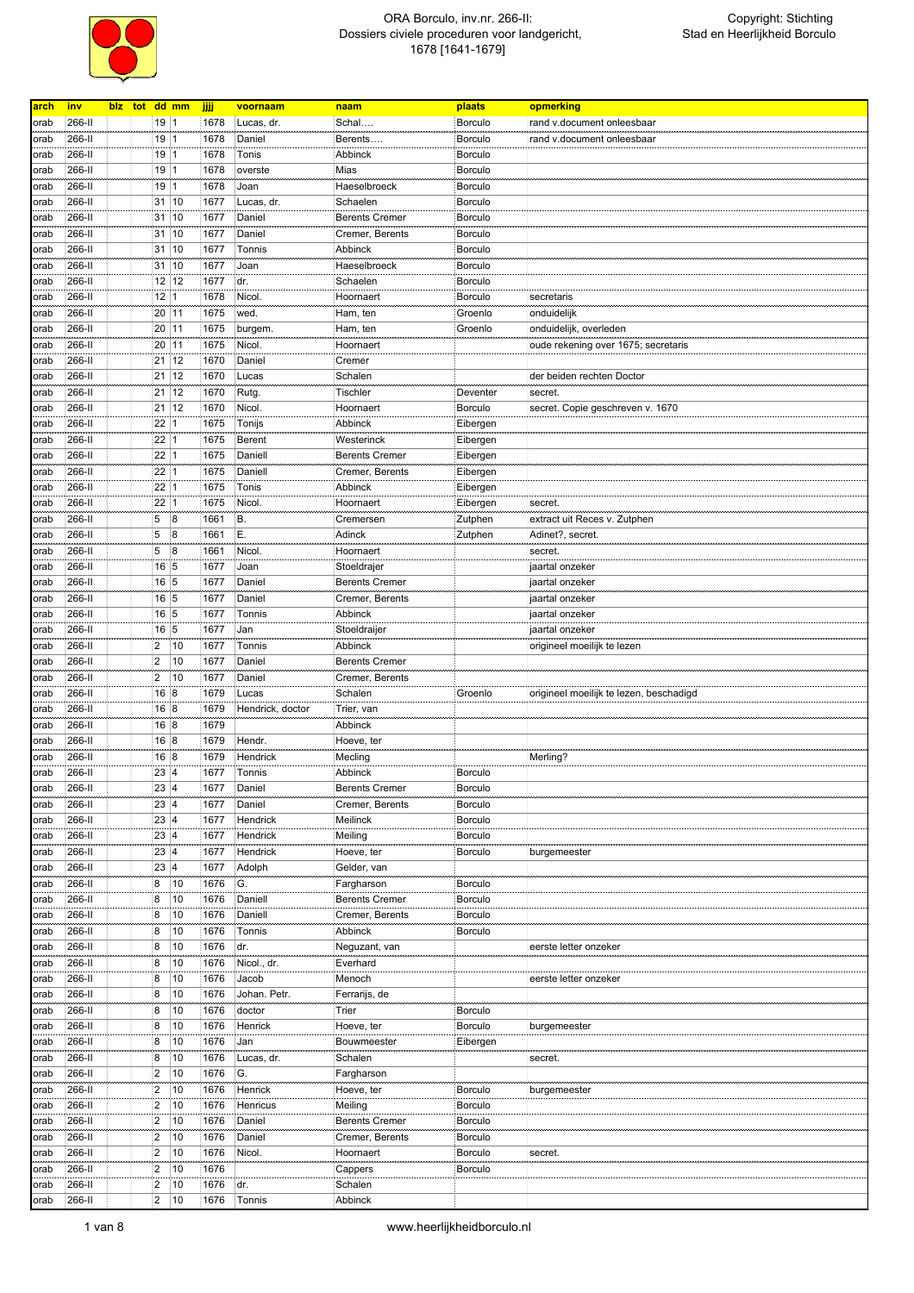

| arch | inv    | blz tot dd mm |                |              | <b>jiji</b> | voornaam         | naam                  | plaats         | opmerking                               |
|------|--------|---------------|----------------|--------------|-------------|------------------|-----------------------|----------------|-----------------------------------------|
|      |        |               |                |              |             | Lucas, dr.       |                       |                |                                         |
| orab | 266-II |               | 19 1           |              | 1678        |                  | Schal                 | <b>Borculo</b> | rand v.document onleesbaar              |
| orab | 266-II |               | 19 1           |              | 1678        | Daniel           | Berents               | <b>Borculo</b> | rand v.document onleesbaar              |
| orab | 266-II |               | 19   1         |              | 1678        | Tonis            | Abbinck               | <b>Borculo</b> |                                         |
| orab | 266-II |               | 19 1           |              | 1678        | overste          | Mias                  | Borculo        |                                         |
| orab | 266-II |               | 19             | 1            | 1678        | Joan             | Haeselbroeck          | <b>Borculo</b> |                                         |
| orab | 266-II |               | 31 10          |              | 1677        | Lucas, dr.       | Schaelen              | <b>Borculo</b> |                                         |
| orab | 266-II |               | 31             | 10           | 1677        | Daniel           | <b>Berents Cremer</b> | <b>Borculo</b> |                                         |
| orab | 266-II |               | 31             | 10           | 1677        | Daniel           | Cremer, Berents       | <b>Borculo</b> |                                         |
| orab | 266-II |               | 31             | 10           | 1677        | Tonnis           | Abbinck               | <b>Borculo</b> |                                         |
| orab | 266-II |               | 31             | 10           | 1677        | Joan             | Haeselbroeck          | <b>Borculo</b> |                                         |
|      |        |               |                |              |             |                  |                       |                |                                         |
| orab | 266-II |               |                | 12 12        | 1677        | dr.              | Schaelen              | Borculo        |                                         |
| orab | 266-II |               | 12             | $\mathbf{1}$ | 1678        | Nicol.           | Hoornaert             | Borculo        | secretaris                              |
| orab | 266-II |               | 20             | 11           | 1675        | wed.             | Ham, ten              | Groenlo        | onduidelijk                             |
| orab | 266-II |               | 20 11          |              | 1675        | burgem.          | Ham, ten              | Groenlo        | onduidelijk, overleden                  |
| orab | 266-II |               | 20 11          |              | 1675        | Nicol.           | Hoornaert             |                | oude rekening over 1675; secretaris     |
| orab | 266-II |               | 21             | 12           | 1670        | Daniel           | Cremer                |                |                                         |
| orab | 266-II |               | 21             | 12           | 1670        | Lucas            | Schalen               |                | der beiden rechten Doctor               |
| orab | 266-II |               | $21 \ 12$      |              | 1670        | Rutg.            | <b>Tischler</b>       | Deventer       | secret.                                 |
|      | 266-II |               | 21             | 12           | 1670        | Nicol.           | Hoornaert             |                |                                         |
| orab |        |               |                |              |             |                  |                       | Borculo        | secret. Copie geschreven v. 1670        |
| orab | 266-II |               | 22             | 1            | 1675        | Tonijs           | Abbinck               | Eibergen       |                                         |
| orab | 266-II |               | 22             | 1            | 1675        | Berent           | Westerinck            | Eibergen       |                                         |
| orab | 266-II |               | 22             | 1            | 1675        | Daniell          | <b>Berents Cremer</b> | Eibergen       |                                         |
| orab | 266-II |               | 22             | 1            | 1675        | Daniell          | Cremer, Berents       | Eibergen       |                                         |
| orab | 266-II |               | 22             | 1            | 1675        | Tonis            | Abbinck               | Eibergen       |                                         |
| orab | 266-II |               | 22             | $\mathbf{1}$ | 1675        | Nicol.           | Hoornaert             | Eibergen       | secret.                                 |
| orab | 266-II |               | 5              | 8            | 1661        | В.               | Cremersen             | Zutphen        | extract uit Reces v. Zutphen            |
| orab | 266-II |               | 5              | 8            | 1661        | Ε.               | Adinck                | Zutphen        | Adinet?, secret.                        |
|      |        |               | 5              |              |             |                  |                       |                |                                         |
| orab | 266-II |               |                | 8            | 1661        | Nicol.           | Hoornaert             |                | secret.                                 |
| orab | 266-II |               | 16 5           |              | 1677        | Joan             | Stoeldrajer           |                | jaartal onzeker                         |
| orab | 266-II |               | 16 5           |              | 1677        | Daniel           | <b>Berents Cremer</b> |                | jaartal onzeker                         |
| orab | 266-II |               | 16 5           |              | 1677        | Daniel           | Cremer, Berents       |                | jaartal onzeker                         |
| orab | 266-II |               | 16 5           |              | 1677        | Tonnis           | Abbinck               |                | jaartal onzeker                         |
| orab | 266-II |               | 16 5           |              | 1677        | Jan              | Stoeldraijer          |                | jaartal onzeker                         |
| orab | 266-II |               | 2              | 10           | 1677        | Tonnis           | Abbinck               |                | origineel moeilijk te lezen             |
| orab | 266-II |               | $\overline{2}$ | 10           | 1677        | Daniel           | <b>Berents Cremer</b> |                |                                         |
| orab | 266-II |               | 2              | 10           | 1677        | Daniel           | Cremer, Berents       |                |                                         |
|      | 266-II |               | 16             | 8            | 1679        | Lucas            | Schalen               | Groenlo        | origineel moeilijk te lezen, beschadigd |
| orab |        |               |                |              |             |                  |                       |                |                                         |
| orab | 266-II |               | 168            |              | 1679        | Hendrick, doctor | Trier, van            |                |                                         |
| orab | 266-II |               | 168            |              | 1679        |                  | Abbinck               |                |                                         |
| orab | 266-II |               | 168            |              | 1679        | Hendr.           | Hoeve, ter            |                |                                         |
| orab | 266-II |               | 168            |              | 1679        | Hendrick         | Mecling               |                | Merling?                                |
| orab | 266-II |               | 234            |              | 1677        | Tonnis           | Abbinck               | <b>Borculo</b> |                                         |
| orab | 266-II |               | 23 4           |              | 1677        | Daniel           | <b>Berents Cremer</b> | <b>Borculo</b> |                                         |
| orab | 266-II |               | 23 4           |              | 1677        | Daniel           | Cremer, Berents       | Borculo        |                                         |
| orab | 266-II |               | 23 4           |              | 1677        | Hendrick         | Meilinck              | Borculo        |                                         |
|      | 266-II |               | 23 4           |              | 1677        | Hendrick         |                       | Borculo        |                                         |
| orab |        |               |                |              |             |                  | Meiling               |                |                                         |
| orab | 266-II |               | 23 4           |              | 1677        | Hendrick         | Hoeve, ter            | Borculo        | burgemeester                            |
| orab | 266-II |               | 23 4           |              | 1677        | Adolph           | Gelder, van           |                |                                         |
| orab | 266-II |               | 8              | 10           | 1676        | G.               | Fargharson            | <b>Borculo</b> |                                         |
| orab | 266-II |               | 8              | 10           | 1676        | Daniell          | <b>Berents Cremer</b> | Borculo        |                                         |
| orab | 266-II |               | 8              | 10           | 1676        | Daniell          | Cremer, Berents       | Borculo        |                                         |
| orab | 266-II |               | 8              | 10           | 1676        | Tonnis           | Abbinck               | Borculo        |                                         |
| orab | 266-II |               | 8              | 10           | 1676        | dr.              | Neguzant, van         |                | eerste letter onzeker                   |
| orab | 266-II |               | 8              | 10           | 1676        | Nicol., dr.      | Everhard              |                |                                         |
|      |        |               |                |              |             |                  |                       |                |                                         |
| orab | 266-II |               | 8              | 10           | 1676        | Jacob            | Menoch                |                | eerste letter onzeker                   |
| orab | 266-II |               | 8              | 10           | 1676        | Johan. Petr.     | Ferrarijs, de         |                |                                         |
| orab | 266-II |               | 8              | 10           | 1676        | doctor           | Trier                 | <b>Borculo</b> |                                         |
| orab | 266-II |               | 8              | 10           | 1676        | Henrick          | Hoeve, ter            | <b>Borculo</b> | burgemeester                            |
| orab | 266-II |               | 8              | 10           | 1676        | Jan              | Bouwmeester           | Eibergen       |                                         |
| orab | 266-II |               | 8              | 10           | 1676        | Lucas, dr.       | Schalen               |                | secret.                                 |
| orab | 266-II |               | $\overline{2}$ | 10           | 1676        | G.               | Fargharson            |                |                                         |
|      | 266-II |               | $\overline{2}$ | 10           | 1676        | Henrick          | Hoeve, ter            | Borculo        |                                         |
| orab |        |               |                |              |             |                  |                       |                | burgemeester                            |
| orab | 266-II |               | $\overline{2}$ | 10           | 1676        | Henricus         | Meiling               | Borculo        |                                         |
| orab | 266-II |               | $\overline{2}$ | 10           | 1676        | Daniel           | <b>Berents Cremer</b> | Borculo        |                                         |
| orab | 266-II |               | $\overline{2}$ | 10           | 1676        | Daniel           | Cremer, Berents       | <b>Borculo</b> |                                         |
| orab | 266-II |               | $\overline{2}$ | 10           | 1676        | Nicol.           | Hoornaert             | <b>Borculo</b> | secret.                                 |
| orab | 266-II |               | 2              | 10           | 1676        |                  | Cappers               | <b>Borculo</b> |                                         |
| orab | 266-II |               | 2              | 10           | 1676        | dr.              | Schalen               |                |                                         |
| orab | 266-II |               | $\overline{2}$ | 10           | 1676        | Tonnis           | Abbinck               |                |                                         |
|      |        |               |                |              |             |                  |                       |                |                                         |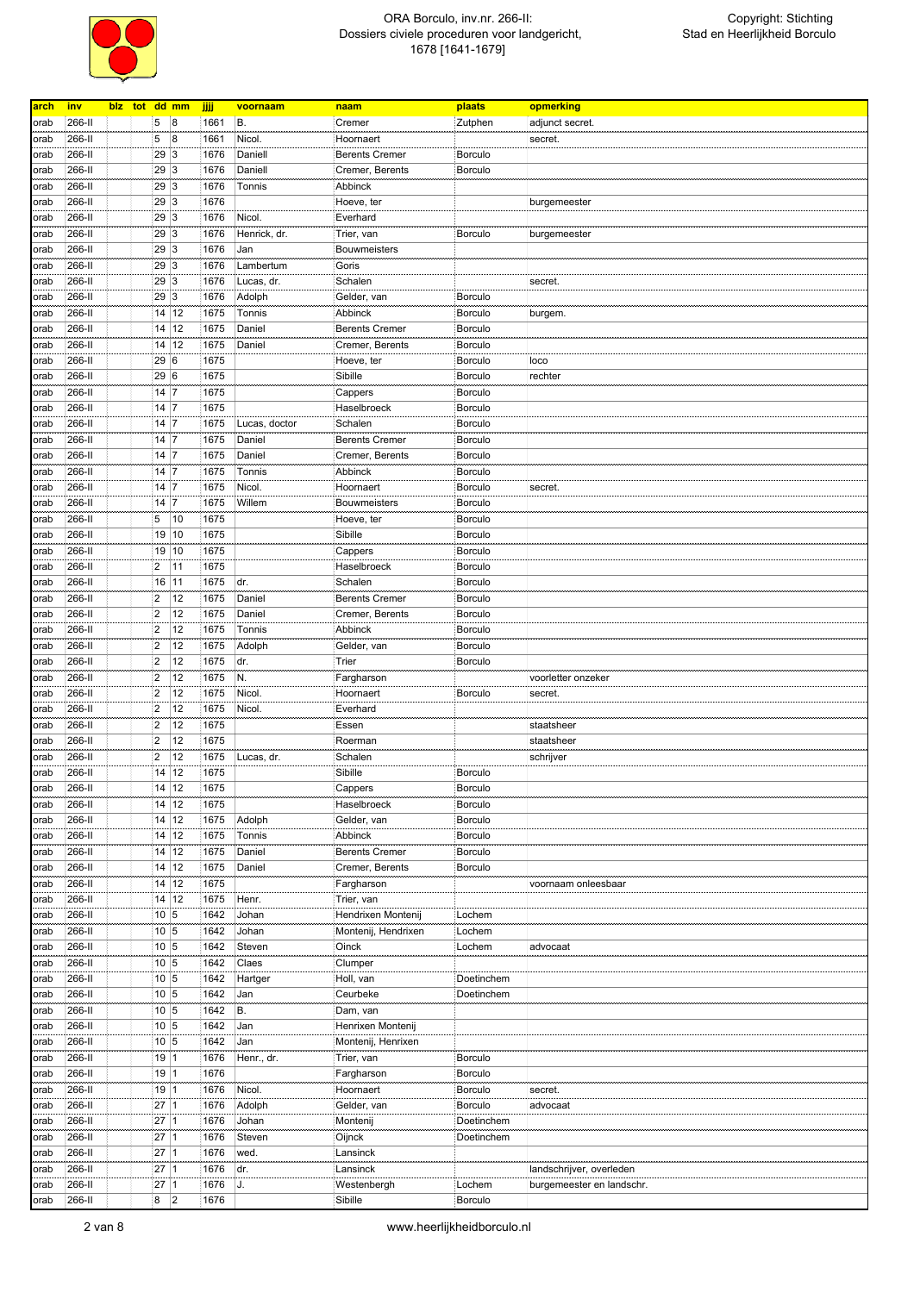

| arch | <u>inv</u> |  | blz tot dd mm    |    | jjjj | voornaam      | naam                  | plaats         | opmerking                 |
|------|------------|--|------------------|----|------|---------------|-----------------------|----------------|---------------------------|
| orab | 266-II     |  | 5                | 8  | 1661 | B.            | Cremer                | Zutphen        | adjunct secret.           |
|      |            |  |                  |    |      |               |                       |                |                           |
| orab | 266-II     |  | 5                | 8  | 1661 | Nicol.        | Hoornaert             |                | secret.                   |
| orab | 266-II     |  | 29               | 3  | 1676 | Daniell       | <b>Berents Cremer</b> | Borculo        |                           |
| orab | 266-II     |  | 29               | 3  | 1676 | Daniell       | Cremer, Berents       | <b>Borculo</b> |                           |
| orab | 266-II     |  | 29               | 3  | 1676 | Tonnis        | Abbinck               |                |                           |
| orab | 266-II     |  | 29               | 3  | 1676 |               | Hoeve, ter            |                | burgemeester              |
| orab | 266-II     |  | 29               | 3  | 1676 | Nicol.        | Everhard              |                |                           |
|      |            |  | 29               | 3  | 1676 |               |                       | <b>Borculo</b> |                           |
| orab | 266-II     |  |                  |    |      | Henrick, dr.  | Trier, van            |                | burgemeester              |
| orab | 266-II     |  | 29               | 3  | 1676 | Jan           | <b>Bouwmeisters</b>   |                |                           |
| orab | 266-II     |  | 29               | 3  | 1676 | Lambertum     | Goris                 |                |                           |
| orab | 266-II     |  | 29               | 3  | 1676 | Lucas, dr.    | Schalen               |                | secret.                   |
| orab | 266-II     |  | 29               | 3  | 1676 | Adolph        | Gelder, van           | <b>Borculo</b> |                           |
| orab | 266-II     |  | 14               | 12 | 1675 | Tonnis        | Abbinck               | Borculo        | burgem.                   |
| orab | 266-II     |  | 14               | 12 | 1675 | Daniel        | <b>Berents Cremer</b> | Borculo        |                           |
|      |            |  | 14               | 12 |      |               | Cremer, Berents       |                |                           |
| orab | 266-II     |  |                  |    | 1675 | Daniel        |                       | <b>Borculo</b> |                           |
| orab | 266-II     |  | 29 6             |    | 1675 |               | Hoeve, ter            | <b>Borculo</b> | loco                      |
| orab | 266-II     |  | 29 6             |    | 1675 |               | Sibille               | <b>Borculo</b> | rechter                   |
| orab | 266-II     |  | 14 7             |    | 1675 |               | Cappers               | <b>Borculo</b> |                           |
| orab | 266-II     |  | 14 7             |    | 1675 |               | Haselbroeck           | <b>Borculo</b> |                           |
| orab | 266-II     |  | 14               | 17 | 1675 | Lucas, doctor | Schalen               | Borculo        |                           |
| orab | 266-II     |  | 14 7             |    | 1675 | Daniel        | <b>Berents Cremer</b> | Borculo        |                           |
|      |            |  |                  |    |      |               |                       |                |                           |
| orab | 266-II     |  | 14 7             |    | 1675 | Daniel        | Cremer, Berents       | Borculo        |                           |
| orab | 266-II     |  | 14 7             |    | 1675 | Tonnis        | Abbinck               | Borculo        |                           |
| orab | 266-II     |  | 14               | 17 | 1675 | Nicol.        | Hoornaert             | <b>Borculo</b> | secret.                   |
| orab | 266-II     |  | 14 7             |    | 1675 | Willem        | <b>Bouwmeisters</b>   | <b>Borculo</b> |                           |
| orab | 266-II     |  | 5                | 10 | 1675 |               | Hoeve, ter            | <b>Borculo</b> |                           |
| orab | 266-II     |  | 19               | 10 | 1675 |               | Sibille               | <b>Borculo</b> |                           |
|      | 266-II     |  | 19               | 10 |      |               |                       | Borculo        |                           |
| orab |            |  |                  |    | 1675 |               | Cappers               |                |                           |
| orab | 266-II     |  | $\overline{2}$   | 11 | 1675 |               | Haselbroeck           | Borculo        |                           |
| orab | 266-II     |  | 16               | 11 | 1675 | dr.           | Schalen               | <b>Borculo</b> |                           |
| orab | 266-II     |  | $\overline{2}$   | 12 | 1675 | Daniel        | <b>Berents Cremer</b> | Borculo        |                           |
| orab | 266-II     |  | $\overline{2}$   | 12 | 1675 | Daniel        | Cremer, Berents       | Borculo        |                           |
| orab | 266-II     |  | $\overline{2}$   | 12 | 1675 | Tonnis        | Abbinck               | <b>Borculo</b> |                           |
| orab | 266-II     |  | $\overline{2}$   | 12 | 1675 | Adolph        | Gelder, van           | <b>Borculo</b> |                           |
|      |            |  | $\overline{2}$   | 12 |      |               |                       |                |                           |
| orab | 266-II     |  |                  |    | 1675 | dr.           | Trier                 | <b>Borculo</b> |                           |
| orab | 266-II     |  | $\overline{2}$   | 12 | 1675 | N.            | Fargharson            |                | voorletter onzeker        |
| orab | 266-II     |  | $\overline{2}$   | 12 | 1675 | Nicol.        | Hoornaert             | Borculo        | secret.                   |
| orab | 266-II     |  | $\overline{2}$   | 12 | 1675 | Nicol.        | Everhard              |                |                           |
| orab | 266-II     |  | $\overline{2}$   | 12 | 1675 |               | Essen                 |                | staatsheer                |
| orab | 266-II     |  | $\overline{2}$   | 12 | 1675 |               | Roerman               |                | staatsheer                |
| orab | 266-II     |  | $\overline{2}$   | 12 | 1675 | Lucas, dr.    | Schalen               |                | schrijver                 |
|      | 266-II     |  | 14               | 12 | 1675 |               | Sibille               | <b>Borculo</b> |                           |
| orab |            |  |                  |    |      |               |                       |                |                           |
| orab | 266-II     |  | $14$ 12          |    | 1675 |               | Cappers               | <b>Borculo</b> |                           |
| orab | 266-II     |  | 14 12            |    | 1675 |               | Haselbroeck           | Borculo        |                           |
| orab | 266-II     |  | 14               | 12 | 1675 | Adolph        | Gelder, van           | Borculo        |                           |
| orab | 266-II     |  | 14 12            |    | 1675 | Tonnis        | Abbinck               | Borculo        |                           |
| orab | 266-II     |  | 14               | 12 | 1675 | Daniel        | <b>Berents Cremer</b> | Borculo        |                           |
| orab | 266-II     |  | 14               | 12 | 1675 | Daniel        | Cremer, Berents       | <b>Borculo</b> |                           |
|      |            |  |                  |    |      |               |                       |                |                           |
| orab | 266-II     |  | 14 12            |    | 1675 |               | Fargharson            |                | voornaam onleesbaar       |
| orab | 266-II     |  | 14 12            |    | 1675 | Henr.         | Trier, van            |                |                           |
| orab | 266-II     |  | 10 <sub>5</sub>  |    | 1642 | Johan         | Hendrixen Montenij    | Lochem         |                           |
| orab | 266-II     |  | $10\vert 5$      |    | 1642 | Johan         | Montenij, Hendrixen   | Lochem         |                           |
| orab | 266-II     |  | 10 5             |    | 1642 | Steven        | Oinck                 | Lochem         | advocaat                  |
| orab | 266-II     |  | 10 5             |    | 1642 | Claes         | Clumper               |                |                           |
| orab | 266-II     |  | 10 <sub>5</sub>  |    | 1642 | Hartger       | Holl, van             | Doetinchem     |                           |
|      |            |  |                  |    |      |               |                       |                |                           |
| orab | 266-II     |  | $10\vert 5$      |    | 1642 | Jan           | Ceurbeke              | Doetinchem     |                           |
| orab | 266-II     |  | 10 <sub>5</sub>  |    | 1642 | B.            | Dam, van              |                |                           |
| orab | 266-II     |  | $10\vert 5$      |    | 1642 | Jan           | Henrixen Montenij     |                |                           |
| orab | 266-II     |  | $10\overline{5}$ |    | 1642 | Jan           | Montenij, Henrixen    |                |                           |
| orab | 266-II     |  | 19 1             |    | 1676 | Henr., dr.    | Trier, van            | <b>Borculo</b> |                           |
| orab | 266-II     |  | 19 1             |    | 1676 |               | Fargharson            | Borculo        |                           |
|      |            |  |                  |    |      |               |                       |                |                           |
| orab | 266-II     |  | 19 1             |    | 1676 | Nicol.        | Hoornaert             | Borculo        | secret.                   |
| orab | 266-II     |  | 27 <sup>1</sup>  |    | 1676 | Adolph        | Gelder, van           | Borculo        | advocaat                  |
| orab | 266-II     |  | 27 1             |    | 1676 | Johan         | Montenij              | Doetinchem     |                           |
| orab | 266-II     |  | 27 1             |    | 1676 | Steven        | Oijnck                | Doetinchem     |                           |
| orab | 266-II     |  | $27$ 1           |    | 1676 | wed.          | Lansinck              |                |                           |
| orab | 266-II     |  | 27 <sup>1</sup>  |    | 1676 | dr.           | Lansinck              |                | landschrijver, overleden  |
|      |            |  |                  |    |      |               |                       |                |                           |
| orab | 266-II     |  | 27 1             |    | 1676 | IJ.           | Westenbergh           | Lochem         | burgemeester en landschr. |
| orab | 266-II     |  | 8                | 2  | 1676 |               | Sibille               | <b>Borculo</b> |                           |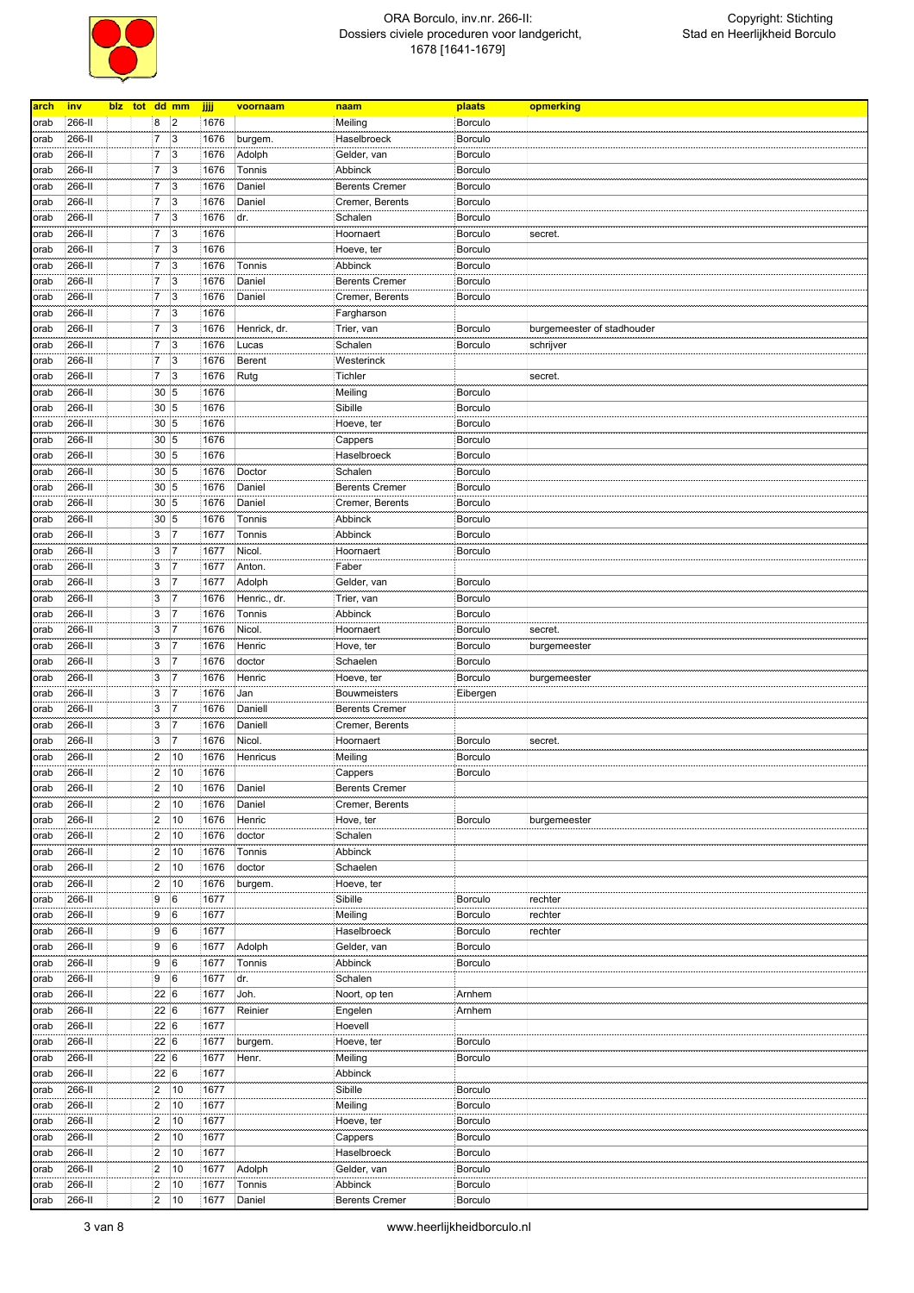

| blz tot dd mm<br>266-II<br>8<br>$\overline{2}$<br>1676<br><b>Borculo</b><br>Meiling<br>orab<br>17<br>$\vert$ 3<br>266-II<br>1676<br>Haselbroeck<br><b>Borculo</b><br>burgem.<br>orab<br>$\overline{3}$<br>266-II<br>7<br>1676<br>Adolph<br>Borculo<br>Gelder, van<br>orab<br>$\overline{7}$<br>$\overline{3}$<br>266-II<br>1676<br>Tonnis<br><b>Borculo</b><br>Abbinck<br>orab<br>$\overline{7}$<br>$\overline{3}$<br>Daniel<br>266-II<br>1676<br><b>Berents Cremer</b><br>Borculo<br>orab<br>$\overline{3}$<br>266-II<br>$\overline{7}$<br>1676<br>Daniel<br>Cremer, Berents<br><b>Borculo</b><br>orab<br>$\overline{7}$<br>$\overline{3}$<br>266-II<br>1676<br>dr.<br>Borculo<br>Schalen<br>orab<br>3<br>266-II<br>7<br>1676<br>Hoornaert<br><b>Borculo</b><br>secret.<br>orab<br>3<br>266-II<br>7<br>1676<br>Hoeve, ter<br><b>Borculo</b><br>orab<br>$\overline{7}$<br>$\overline{3}$<br>266-II<br>1676<br>Tonnis<br>Abbinck<br>Borculo<br>orab<br>7<br>3<br>266-II<br>1676<br>Daniel<br><b>Berents Cremer</b><br>Borculo<br>orab<br>$\overline{3}$<br>7<br>1676<br>Daniel<br>Borculo<br>266-II<br>Cremer, Berents<br>orab<br>$\overline{3}$<br>7<br>1676<br>266-II<br>orab<br>Fargharson<br>$\overline{7}$<br>$\overline{3}$<br>266-II<br>1676<br>Henrick, dr.<br>Borculo<br>Trier, van<br>burgemeester of stadhouder<br>orab<br>$\overline{7}$<br>$\overline{3}$<br>266-II<br>1676<br>Lucas<br>Schalen<br><b>Borculo</b><br>orab<br>schrijver<br>$\overline{7}$<br> 3<br>266-II<br>1676<br><b>Berent</b><br>Westerinck<br>orab<br>$\overline{3}$<br>266-II<br>7<br>1676<br>Rutg<br>Tichler<br>secret.<br>orab<br>30 5<br>266-II<br>1676<br><b>Borculo</b><br>Meiling<br>orab<br>30 5<br>266-II<br>1676<br>Borculo<br>Sibille<br>orab<br>30 5<br>266-II<br>1676<br>Hoeve, ter<br><b>Borculo</b><br>orab<br>30 <sub>5</sub><br>1676<br>266-II<br>Borculo<br>Cappers<br>orab<br>30 5<br>266-II<br>1676<br>Haselbroeck<br><b>Borculo</b><br>orab<br>30 5<br>Doctor<br>266-II<br>1676<br>Schalen<br>Borculo<br>orab<br>30 5<br>266-II<br>1676<br>Daniel<br><b>Berents Cremer</b><br><b>Borculo</b><br>orab<br>266-II<br>30 5<br>1676<br>Daniel<br>Cremer, Berents<br><b>Borculo</b><br>orab<br>30 5<br>266-II<br>1676<br><b>Borculo</b><br>Tonnis<br>Abbinck<br>orab<br>3<br>17<br>266-II<br>1677<br>Tonnis<br>Abbinck<br><b>Borculo</b><br>orab<br>3<br>$\overline{7}$<br>266-II<br>1677<br>Nicol.<br>Hoornaert<br>Borculo<br>orab<br>3<br>17<br>266-II<br>1677<br>Anton.<br>Faber<br>orab<br>3<br>$\overline{7}$<br>Adolph<br>266-II<br>1677<br>Gelder, van<br><b>Borculo</b><br>orab<br>3<br>$\overline{7}$<br>266-II<br>1676<br>Henric., dr.<br><b>Borculo</b><br>orab<br>Trier, van<br>3<br>$\overline{7}$<br>266-II<br>1676<br>Tonnis<br>Borculo<br>Abbinck<br>orab<br>3<br>266-II<br>17<br>1676<br>Nicol.<br>Hoornaert<br><b>Borculo</b><br>secret.<br>orab<br>3<br>$\overline{7}$<br>266-II<br>1676<br>Henric<br><b>Borculo</b><br>orab<br>Hove, ter<br>burgemeester<br>3<br>$\overline{7}$<br>266-II<br>1676<br>doctor<br>Schaelen<br><b>Borculo</b><br>orab<br>266-II<br>3<br>17<br>1676<br>Henric<br>Borculo<br>Hoeve, ter<br>burgemeester<br>orab<br>266-II<br>3<br>$\overline{7}$<br>1676<br>Jan<br><b>Bouwmeisters</b><br>Eibergen<br>orab<br>3<br>$\overline{7}$<br>266-II<br>1676<br>Daniell<br><b>Berents Cremer</b><br>orab<br>3<br>$\overline{7}$<br>266-II<br>1676<br>Daniell<br>Cremer, Berents<br>orab<br>3<br>266-II<br>$\overline{7}$<br>1676<br>Nicol.<br>Borculo<br>Hoornaert<br>secret.<br>orab<br>$\overline{2}$<br>266-II<br>10<br>1676<br>Henricus<br>Meiling<br><b>Borculo</b><br>orab<br>2<br>266-II<br>10<br>1676<br>Cappers<br><b>Borculo</b><br>orab<br>266-II<br>$\vert$ 2<br><b>Berents Cremer</b><br>10<br>1676<br>Daniel<br>orab<br>$ 2\rangle$<br>266-II<br>10<br>1676<br>Daniel<br>Cremer, Berents<br>orab<br>$\overline{2}$<br>266-II<br>10<br>1676<br>Henric<br>Hove, ter<br><b>Borculo</b><br>burgemeester<br>orab<br>$\overline{2}$<br>266-II<br>10<br>1676<br>doctor<br>Schalen<br>orab<br>2<br>266-II<br>10<br>1676<br>Tonnis<br>Abbinck<br>orab<br>$\overline{2}$<br>doctor<br>266-II<br>10<br>1676<br>Schaelen<br>orab<br>$\vert$ 2<br>266-II<br>10<br>1676<br>burgem.<br>Hoeve, ter<br>orab<br>266-II<br>9<br>6<br>1677<br>Sibille<br><b>Borculo</b><br>rechter<br>orab<br>9<br>266-II<br>6<br>1677<br>Meiling<br>Borculo<br>rechter<br>orab<br>9<br>6<br>266-II<br>1677<br>Haselbroeck<br>Borculo<br>rechter<br>orab<br>9<br>$6\phantom{.}6$<br>266-II<br>1677<br>Adolph<br>Gelder, van<br>Borculo<br>orab<br>9<br>6<br>266-II<br>1677<br>Tonnis<br>Abbinck<br>Borculo<br>orab<br>9<br>6<br>266-II<br>1677<br>dr.<br>Schalen<br>orab<br>22 6<br>Joh.<br>266-II<br>1677<br>Noort, op ten<br>Arnhem<br>orab<br>266-II<br>22 6<br>1677<br>Reinier<br>Engelen<br>Arnhem<br>orab<br>22 6<br>1677<br>266-II<br>Hoevell<br>orab<br>22 6<br>266-II<br>1677<br>burgem.<br>Hoeve, ter<br><b>Borculo</b><br>orab<br>22 6<br>266-II<br>1677<br>Henr.<br>Meiling<br>Borculo<br>orab<br>22 6<br>266-II<br>1677<br>Abbinck<br>orab<br>$\overline{2}$<br>266-II<br>10<br>1677<br>Sibille<br>Borculo<br>orab<br>$\overline{2}$<br>1677<br>266-II<br>10<br>Meiling<br>Borculo<br>orab<br>2<br>266-II<br>10<br>1677<br>Borculo<br>Hoeve, ter<br>orab<br>$\overline{2}$<br>266-II<br>10<br>1677<br>Borculo<br>Cappers<br>orab<br>$\overline{2}$<br>266-II<br>10<br>1677<br>Haselbroeck<br>Borculo<br>orab<br> 2 <br>266-II<br>10<br>1677<br>Adolph<br>Gelder, van<br><b>Borculo</b><br>orab<br>266-II<br>$\overline{2}$<br>10<br>1677<br>Tonnis<br>Abbinck<br>Borculo<br>orab<br>2<br>10<br>266-II<br>1677<br>Daniel<br><b>Berents Cremer</b><br>Borculo<br>orab | arch | inv |  |  | jjjj | voornaam | naam | plaats | opmerking |
|-------------------------------------------------------------------------------------------------------------------------------------------------------------------------------------------------------------------------------------------------------------------------------------------------------------------------------------------------------------------------------------------------------------------------------------------------------------------------------------------------------------------------------------------------------------------------------------------------------------------------------------------------------------------------------------------------------------------------------------------------------------------------------------------------------------------------------------------------------------------------------------------------------------------------------------------------------------------------------------------------------------------------------------------------------------------------------------------------------------------------------------------------------------------------------------------------------------------------------------------------------------------------------------------------------------------------------------------------------------------------------------------------------------------------------------------------------------------------------------------------------------------------------------------------------------------------------------------------------------------------------------------------------------------------------------------------------------------------------------------------------------------------------------------------------------------------------------------------------------------------------------------------------------------------------------------------------------------------------------------------------------------------------------------------------------------------------------------------------------------------------------------------------------------------------------------------------------------------------------------------------------------------------------------------------------------------------------------------------------------------------------------------------------------------------------------------------------------------------------------------------------------------------------------------------------------------------------------------------------------------------------------------------------------------------------------------------------------------------------------------------------------------------------------------------------------------------------------------------------------------------------------------------------------------------------------------------------------------------------------------------------------------------------------------------------------------------------------------------------------------------------------------------------------------------------------------------------------------------------------------------------------------------------------------------------------------------------------------------------------------------------------------------------------------------------------------------------------------------------------------------------------------------------------------------------------------------------------------------------------------------------------------------------------------------------------------------------------------------------------------------------------------------------------------------------------------------------------------------------------------------------------------------------------------------------------------------------------------------------------------------------------------------------------------------------------------------------------------------------------------------------------------------------------------------------------------------------------------------------------------------------------------------------------------------------------------------------------------------------------------------------------------------------------------------------------------------------------------------------------------------------------------------------------------------------------------------------------------------------------------------------------------------------------------------------------------------------------------------------------------------------------------------------------------------------------------------------------------------------------------------------------------------------------------------------------------------------------------------------------------------------------------------------------------------------------------------------------------------------------------------------------------------------------------------------------------------------------------------------------------------------------------------------------------------------------------------------------------------------------------------------------------------------------------------------------------------------------------------------------------------------------------------------------------------------------------------------------------------------------------------------------------------------------------------------------------|------|-----|--|--|------|----------|------|--------|-----------|
|                                                                                                                                                                                                                                                                                                                                                                                                                                                                                                                                                                                                                                                                                                                                                                                                                                                                                                                                                                                                                                                                                                                                                                                                                                                                                                                                                                                                                                                                                                                                                                                                                                                                                                                                                                                                                                                                                                                                                                                                                                                                                                                                                                                                                                                                                                                                                                                                                                                                                                                                                                                                                                                                                                                                                                                                                                                                                                                                                                                                                                                                                                                                                                                                                                                                                                                                                                                                                                                                                                                                                                                                                                                                                                                                                                                                                                                                                                                                                                                                                                                                                                                                                                                                                                                                                                                                                                                                                                                                                                                                                                                                                                                                                                                                                                                                                                                                                                                                                                                                                                                                                                                                                                                                                                                                                                                                                                                                                                                                                                                                                                                                                                                                                                 |      |     |  |  |      |          |      |        |           |
|                                                                                                                                                                                                                                                                                                                                                                                                                                                                                                                                                                                                                                                                                                                                                                                                                                                                                                                                                                                                                                                                                                                                                                                                                                                                                                                                                                                                                                                                                                                                                                                                                                                                                                                                                                                                                                                                                                                                                                                                                                                                                                                                                                                                                                                                                                                                                                                                                                                                                                                                                                                                                                                                                                                                                                                                                                                                                                                                                                                                                                                                                                                                                                                                                                                                                                                                                                                                                                                                                                                                                                                                                                                                                                                                                                                                                                                                                                                                                                                                                                                                                                                                                                                                                                                                                                                                                                                                                                                                                                                                                                                                                                                                                                                                                                                                                                                                                                                                                                                                                                                                                                                                                                                                                                                                                                                                                                                                                                                                                                                                                                                                                                                                                                 |      |     |  |  |      |          |      |        |           |
|                                                                                                                                                                                                                                                                                                                                                                                                                                                                                                                                                                                                                                                                                                                                                                                                                                                                                                                                                                                                                                                                                                                                                                                                                                                                                                                                                                                                                                                                                                                                                                                                                                                                                                                                                                                                                                                                                                                                                                                                                                                                                                                                                                                                                                                                                                                                                                                                                                                                                                                                                                                                                                                                                                                                                                                                                                                                                                                                                                                                                                                                                                                                                                                                                                                                                                                                                                                                                                                                                                                                                                                                                                                                                                                                                                                                                                                                                                                                                                                                                                                                                                                                                                                                                                                                                                                                                                                                                                                                                                                                                                                                                                                                                                                                                                                                                                                                                                                                                                                                                                                                                                                                                                                                                                                                                                                                                                                                                                                                                                                                                                                                                                                                                                 |      |     |  |  |      |          |      |        |           |
|                                                                                                                                                                                                                                                                                                                                                                                                                                                                                                                                                                                                                                                                                                                                                                                                                                                                                                                                                                                                                                                                                                                                                                                                                                                                                                                                                                                                                                                                                                                                                                                                                                                                                                                                                                                                                                                                                                                                                                                                                                                                                                                                                                                                                                                                                                                                                                                                                                                                                                                                                                                                                                                                                                                                                                                                                                                                                                                                                                                                                                                                                                                                                                                                                                                                                                                                                                                                                                                                                                                                                                                                                                                                                                                                                                                                                                                                                                                                                                                                                                                                                                                                                                                                                                                                                                                                                                                                                                                                                                                                                                                                                                                                                                                                                                                                                                                                                                                                                                                                                                                                                                                                                                                                                                                                                                                                                                                                                                                                                                                                                                                                                                                                                                 |      |     |  |  |      |          |      |        |           |
|                                                                                                                                                                                                                                                                                                                                                                                                                                                                                                                                                                                                                                                                                                                                                                                                                                                                                                                                                                                                                                                                                                                                                                                                                                                                                                                                                                                                                                                                                                                                                                                                                                                                                                                                                                                                                                                                                                                                                                                                                                                                                                                                                                                                                                                                                                                                                                                                                                                                                                                                                                                                                                                                                                                                                                                                                                                                                                                                                                                                                                                                                                                                                                                                                                                                                                                                                                                                                                                                                                                                                                                                                                                                                                                                                                                                                                                                                                                                                                                                                                                                                                                                                                                                                                                                                                                                                                                                                                                                                                                                                                                                                                                                                                                                                                                                                                                                                                                                                                                                                                                                                                                                                                                                                                                                                                                                                                                                                                                                                                                                                                                                                                                                                                 |      |     |  |  |      |          |      |        |           |
|                                                                                                                                                                                                                                                                                                                                                                                                                                                                                                                                                                                                                                                                                                                                                                                                                                                                                                                                                                                                                                                                                                                                                                                                                                                                                                                                                                                                                                                                                                                                                                                                                                                                                                                                                                                                                                                                                                                                                                                                                                                                                                                                                                                                                                                                                                                                                                                                                                                                                                                                                                                                                                                                                                                                                                                                                                                                                                                                                                                                                                                                                                                                                                                                                                                                                                                                                                                                                                                                                                                                                                                                                                                                                                                                                                                                                                                                                                                                                                                                                                                                                                                                                                                                                                                                                                                                                                                                                                                                                                                                                                                                                                                                                                                                                                                                                                                                                                                                                                                                                                                                                                                                                                                                                                                                                                                                                                                                                                                                                                                                                                                                                                                                                                 |      |     |  |  |      |          |      |        |           |
|                                                                                                                                                                                                                                                                                                                                                                                                                                                                                                                                                                                                                                                                                                                                                                                                                                                                                                                                                                                                                                                                                                                                                                                                                                                                                                                                                                                                                                                                                                                                                                                                                                                                                                                                                                                                                                                                                                                                                                                                                                                                                                                                                                                                                                                                                                                                                                                                                                                                                                                                                                                                                                                                                                                                                                                                                                                                                                                                                                                                                                                                                                                                                                                                                                                                                                                                                                                                                                                                                                                                                                                                                                                                                                                                                                                                                                                                                                                                                                                                                                                                                                                                                                                                                                                                                                                                                                                                                                                                                                                                                                                                                                                                                                                                                                                                                                                                                                                                                                                                                                                                                                                                                                                                                                                                                                                                                                                                                                                                                                                                                                                                                                                                                                 |      |     |  |  |      |          |      |        |           |
|                                                                                                                                                                                                                                                                                                                                                                                                                                                                                                                                                                                                                                                                                                                                                                                                                                                                                                                                                                                                                                                                                                                                                                                                                                                                                                                                                                                                                                                                                                                                                                                                                                                                                                                                                                                                                                                                                                                                                                                                                                                                                                                                                                                                                                                                                                                                                                                                                                                                                                                                                                                                                                                                                                                                                                                                                                                                                                                                                                                                                                                                                                                                                                                                                                                                                                                                                                                                                                                                                                                                                                                                                                                                                                                                                                                                                                                                                                                                                                                                                                                                                                                                                                                                                                                                                                                                                                                                                                                                                                                                                                                                                                                                                                                                                                                                                                                                                                                                                                                                                                                                                                                                                                                                                                                                                                                                                                                                                                                                                                                                                                                                                                                                                                 |      |     |  |  |      |          |      |        |           |
|                                                                                                                                                                                                                                                                                                                                                                                                                                                                                                                                                                                                                                                                                                                                                                                                                                                                                                                                                                                                                                                                                                                                                                                                                                                                                                                                                                                                                                                                                                                                                                                                                                                                                                                                                                                                                                                                                                                                                                                                                                                                                                                                                                                                                                                                                                                                                                                                                                                                                                                                                                                                                                                                                                                                                                                                                                                                                                                                                                                                                                                                                                                                                                                                                                                                                                                                                                                                                                                                                                                                                                                                                                                                                                                                                                                                                                                                                                                                                                                                                                                                                                                                                                                                                                                                                                                                                                                                                                                                                                                                                                                                                                                                                                                                                                                                                                                                                                                                                                                                                                                                                                                                                                                                                                                                                                                                                                                                                                                                                                                                                                                                                                                                                                 |      |     |  |  |      |          |      |        |           |
|                                                                                                                                                                                                                                                                                                                                                                                                                                                                                                                                                                                                                                                                                                                                                                                                                                                                                                                                                                                                                                                                                                                                                                                                                                                                                                                                                                                                                                                                                                                                                                                                                                                                                                                                                                                                                                                                                                                                                                                                                                                                                                                                                                                                                                                                                                                                                                                                                                                                                                                                                                                                                                                                                                                                                                                                                                                                                                                                                                                                                                                                                                                                                                                                                                                                                                                                                                                                                                                                                                                                                                                                                                                                                                                                                                                                                                                                                                                                                                                                                                                                                                                                                                                                                                                                                                                                                                                                                                                                                                                                                                                                                                                                                                                                                                                                                                                                                                                                                                                                                                                                                                                                                                                                                                                                                                                                                                                                                                                                                                                                                                                                                                                                                                 |      |     |  |  |      |          |      |        |           |
|                                                                                                                                                                                                                                                                                                                                                                                                                                                                                                                                                                                                                                                                                                                                                                                                                                                                                                                                                                                                                                                                                                                                                                                                                                                                                                                                                                                                                                                                                                                                                                                                                                                                                                                                                                                                                                                                                                                                                                                                                                                                                                                                                                                                                                                                                                                                                                                                                                                                                                                                                                                                                                                                                                                                                                                                                                                                                                                                                                                                                                                                                                                                                                                                                                                                                                                                                                                                                                                                                                                                                                                                                                                                                                                                                                                                                                                                                                                                                                                                                                                                                                                                                                                                                                                                                                                                                                                                                                                                                                                                                                                                                                                                                                                                                                                                                                                                                                                                                                                                                                                                                                                                                                                                                                                                                                                                                                                                                                                                                                                                                                                                                                                                                                 |      |     |  |  |      |          |      |        |           |
|                                                                                                                                                                                                                                                                                                                                                                                                                                                                                                                                                                                                                                                                                                                                                                                                                                                                                                                                                                                                                                                                                                                                                                                                                                                                                                                                                                                                                                                                                                                                                                                                                                                                                                                                                                                                                                                                                                                                                                                                                                                                                                                                                                                                                                                                                                                                                                                                                                                                                                                                                                                                                                                                                                                                                                                                                                                                                                                                                                                                                                                                                                                                                                                                                                                                                                                                                                                                                                                                                                                                                                                                                                                                                                                                                                                                                                                                                                                                                                                                                                                                                                                                                                                                                                                                                                                                                                                                                                                                                                                                                                                                                                                                                                                                                                                                                                                                                                                                                                                                                                                                                                                                                                                                                                                                                                                                                                                                                                                                                                                                                                                                                                                                                                 |      |     |  |  |      |          |      |        |           |
|                                                                                                                                                                                                                                                                                                                                                                                                                                                                                                                                                                                                                                                                                                                                                                                                                                                                                                                                                                                                                                                                                                                                                                                                                                                                                                                                                                                                                                                                                                                                                                                                                                                                                                                                                                                                                                                                                                                                                                                                                                                                                                                                                                                                                                                                                                                                                                                                                                                                                                                                                                                                                                                                                                                                                                                                                                                                                                                                                                                                                                                                                                                                                                                                                                                                                                                                                                                                                                                                                                                                                                                                                                                                                                                                                                                                                                                                                                                                                                                                                                                                                                                                                                                                                                                                                                                                                                                                                                                                                                                                                                                                                                                                                                                                                                                                                                                                                                                                                                                                                                                                                                                                                                                                                                                                                                                                                                                                                                                                                                                                                                                                                                                                                                 |      |     |  |  |      |          |      |        |           |
|                                                                                                                                                                                                                                                                                                                                                                                                                                                                                                                                                                                                                                                                                                                                                                                                                                                                                                                                                                                                                                                                                                                                                                                                                                                                                                                                                                                                                                                                                                                                                                                                                                                                                                                                                                                                                                                                                                                                                                                                                                                                                                                                                                                                                                                                                                                                                                                                                                                                                                                                                                                                                                                                                                                                                                                                                                                                                                                                                                                                                                                                                                                                                                                                                                                                                                                                                                                                                                                                                                                                                                                                                                                                                                                                                                                                                                                                                                                                                                                                                                                                                                                                                                                                                                                                                                                                                                                                                                                                                                                                                                                                                                                                                                                                                                                                                                                                                                                                                                                                                                                                                                                                                                                                                                                                                                                                                                                                                                                                                                                                                                                                                                                                                                 |      |     |  |  |      |          |      |        |           |
|                                                                                                                                                                                                                                                                                                                                                                                                                                                                                                                                                                                                                                                                                                                                                                                                                                                                                                                                                                                                                                                                                                                                                                                                                                                                                                                                                                                                                                                                                                                                                                                                                                                                                                                                                                                                                                                                                                                                                                                                                                                                                                                                                                                                                                                                                                                                                                                                                                                                                                                                                                                                                                                                                                                                                                                                                                                                                                                                                                                                                                                                                                                                                                                                                                                                                                                                                                                                                                                                                                                                                                                                                                                                                                                                                                                                                                                                                                                                                                                                                                                                                                                                                                                                                                                                                                                                                                                                                                                                                                                                                                                                                                                                                                                                                                                                                                                                                                                                                                                                                                                                                                                                                                                                                                                                                                                                                                                                                                                                                                                                                                                                                                                                                                 |      |     |  |  |      |          |      |        |           |
|                                                                                                                                                                                                                                                                                                                                                                                                                                                                                                                                                                                                                                                                                                                                                                                                                                                                                                                                                                                                                                                                                                                                                                                                                                                                                                                                                                                                                                                                                                                                                                                                                                                                                                                                                                                                                                                                                                                                                                                                                                                                                                                                                                                                                                                                                                                                                                                                                                                                                                                                                                                                                                                                                                                                                                                                                                                                                                                                                                                                                                                                                                                                                                                                                                                                                                                                                                                                                                                                                                                                                                                                                                                                                                                                                                                                                                                                                                                                                                                                                                                                                                                                                                                                                                                                                                                                                                                                                                                                                                                                                                                                                                                                                                                                                                                                                                                                                                                                                                                                                                                                                                                                                                                                                                                                                                                                                                                                                                                                                                                                                                                                                                                                                                 |      |     |  |  |      |          |      |        |           |
|                                                                                                                                                                                                                                                                                                                                                                                                                                                                                                                                                                                                                                                                                                                                                                                                                                                                                                                                                                                                                                                                                                                                                                                                                                                                                                                                                                                                                                                                                                                                                                                                                                                                                                                                                                                                                                                                                                                                                                                                                                                                                                                                                                                                                                                                                                                                                                                                                                                                                                                                                                                                                                                                                                                                                                                                                                                                                                                                                                                                                                                                                                                                                                                                                                                                                                                                                                                                                                                                                                                                                                                                                                                                                                                                                                                                                                                                                                                                                                                                                                                                                                                                                                                                                                                                                                                                                                                                                                                                                                                                                                                                                                                                                                                                                                                                                                                                                                                                                                                                                                                                                                                                                                                                                                                                                                                                                                                                                                                                                                                                                                                                                                                                                                 |      |     |  |  |      |          |      |        |           |
|                                                                                                                                                                                                                                                                                                                                                                                                                                                                                                                                                                                                                                                                                                                                                                                                                                                                                                                                                                                                                                                                                                                                                                                                                                                                                                                                                                                                                                                                                                                                                                                                                                                                                                                                                                                                                                                                                                                                                                                                                                                                                                                                                                                                                                                                                                                                                                                                                                                                                                                                                                                                                                                                                                                                                                                                                                                                                                                                                                                                                                                                                                                                                                                                                                                                                                                                                                                                                                                                                                                                                                                                                                                                                                                                                                                                                                                                                                                                                                                                                                                                                                                                                                                                                                                                                                                                                                                                                                                                                                                                                                                                                                                                                                                                                                                                                                                                                                                                                                                                                                                                                                                                                                                                                                                                                                                                                                                                                                                                                                                                                                                                                                                                                                 |      |     |  |  |      |          |      |        |           |
|                                                                                                                                                                                                                                                                                                                                                                                                                                                                                                                                                                                                                                                                                                                                                                                                                                                                                                                                                                                                                                                                                                                                                                                                                                                                                                                                                                                                                                                                                                                                                                                                                                                                                                                                                                                                                                                                                                                                                                                                                                                                                                                                                                                                                                                                                                                                                                                                                                                                                                                                                                                                                                                                                                                                                                                                                                                                                                                                                                                                                                                                                                                                                                                                                                                                                                                                                                                                                                                                                                                                                                                                                                                                                                                                                                                                                                                                                                                                                                                                                                                                                                                                                                                                                                                                                                                                                                                                                                                                                                                                                                                                                                                                                                                                                                                                                                                                                                                                                                                                                                                                                                                                                                                                                                                                                                                                                                                                                                                                                                                                                                                                                                                                                                 |      |     |  |  |      |          |      |        |           |
|                                                                                                                                                                                                                                                                                                                                                                                                                                                                                                                                                                                                                                                                                                                                                                                                                                                                                                                                                                                                                                                                                                                                                                                                                                                                                                                                                                                                                                                                                                                                                                                                                                                                                                                                                                                                                                                                                                                                                                                                                                                                                                                                                                                                                                                                                                                                                                                                                                                                                                                                                                                                                                                                                                                                                                                                                                                                                                                                                                                                                                                                                                                                                                                                                                                                                                                                                                                                                                                                                                                                                                                                                                                                                                                                                                                                                                                                                                                                                                                                                                                                                                                                                                                                                                                                                                                                                                                                                                                                                                                                                                                                                                                                                                                                                                                                                                                                                                                                                                                                                                                                                                                                                                                                                                                                                                                                                                                                                                                                                                                                                                                                                                                                                                 |      |     |  |  |      |          |      |        |           |
|                                                                                                                                                                                                                                                                                                                                                                                                                                                                                                                                                                                                                                                                                                                                                                                                                                                                                                                                                                                                                                                                                                                                                                                                                                                                                                                                                                                                                                                                                                                                                                                                                                                                                                                                                                                                                                                                                                                                                                                                                                                                                                                                                                                                                                                                                                                                                                                                                                                                                                                                                                                                                                                                                                                                                                                                                                                                                                                                                                                                                                                                                                                                                                                                                                                                                                                                                                                                                                                                                                                                                                                                                                                                                                                                                                                                                                                                                                                                                                                                                                                                                                                                                                                                                                                                                                                                                                                                                                                                                                                                                                                                                                                                                                                                                                                                                                                                                                                                                                                                                                                                                                                                                                                                                                                                                                                                                                                                                                                                                                                                                                                                                                                                                                 |      |     |  |  |      |          |      |        |           |
|                                                                                                                                                                                                                                                                                                                                                                                                                                                                                                                                                                                                                                                                                                                                                                                                                                                                                                                                                                                                                                                                                                                                                                                                                                                                                                                                                                                                                                                                                                                                                                                                                                                                                                                                                                                                                                                                                                                                                                                                                                                                                                                                                                                                                                                                                                                                                                                                                                                                                                                                                                                                                                                                                                                                                                                                                                                                                                                                                                                                                                                                                                                                                                                                                                                                                                                                                                                                                                                                                                                                                                                                                                                                                                                                                                                                                                                                                                                                                                                                                                                                                                                                                                                                                                                                                                                                                                                                                                                                                                                                                                                                                                                                                                                                                                                                                                                                                                                                                                                                                                                                                                                                                                                                                                                                                                                                                                                                                                                                                                                                                                                                                                                                                                 |      |     |  |  |      |          |      |        |           |
|                                                                                                                                                                                                                                                                                                                                                                                                                                                                                                                                                                                                                                                                                                                                                                                                                                                                                                                                                                                                                                                                                                                                                                                                                                                                                                                                                                                                                                                                                                                                                                                                                                                                                                                                                                                                                                                                                                                                                                                                                                                                                                                                                                                                                                                                                                                                                                                                                                                                                                                                                                                                                                                                                                                                                                                                                                                                                                                                                                                                                                                                                                                                                                                                                                                                                                                                                                                                                                                                                                                                                                                                                                                                                                                                                                                                                                                                                                                                                                                                                                                                                                                                                                                                                                                                                                                                                                                                                                                                                                                                                                                                                                                                                                                                                                                                                                                                                                                                                                                                                                                                                                                                                                                                                                                                                                                                                                                                                                                                                                                                                                                                                                                                                                 |      |     |  |  |      |          |      |        |           |
|                                                                                                                                                                                                                                                                                                                                                                                                                                                                                                                                                                                                                                                                                                                                                                                                                                                                                                                                                                                                                                                                                                                                                                                                                                                                                                                                                                                                                                                                                                                                                                                                                                                                                                                                                                                                                                                                                                                                                                                                                                                                                                                                                                                                                                                                                                                                                                                                                                                                                                                                                                                                                                                                                                                                                                                                                                                                                                                                                                                                                                                                                                                                                                                                                                                                                                                                                                                                                                                                                                                                                                                                                                                                                                                                                                                                                                                                                                                                                                                                                                                                                                                                                                                                                                                                                                                                                                                                                                                                                                                                                                                                                                                                                                                                                                                                                                                                                                                                                                                                                                                                                                                                                                                                                                                                                                                                                                                                                                                                                                                                                                                                                                                                                                 |      |     |  |  |      |          |      |        |           |
|                                                                                                                                                                                                                                                                                                                                                                                                                                                                                                                                                                                                                                                                                                                                                                                                                                                                                                                                                                                                                                                                                                                                                                                                                                                                                                                                                                                                                                                                                                                                                                                                                                                                                                                                                                                                                                                                                                                                                                                                                                                                                                                                                                                                                                                                                                                                                                                                                                                                                                                                                                                                                                                                                                                                                                                                                                                                                                                                                                                                                                                                                                                                                                                                                                                                                                                                                                                                                                                                                                                                                                                                                                                                                                                                                                                                                                                                                                                                                                                                                                                                                                                                                                                                                                                                                                                                                                                                                                                                                                                                                                                                                                                                                                                                                                                                                                                                                                                                                                                                                                                                                                                                                                                                                                                                                                                                                                                                                                                                                                                                                                                                                                                                                                 |      |     |  |  |      |          |      |        |           |
|                                                                                                                                                                                                                                                                                                                                                                                                                                                                                                                                                                                                                                                                                                                                                                                                                                                                                                                                                                                                                                                                                                                                                                                                                                                                                                                                                                                                                                                                                                                                                                                                                                                                                                                                                                                                                                                                                                                                                                                                                                                                                                                                                                                                                                                                                                                                                                                                                                                                                                                                                                                                                                                                                                                                                                                                                                                                                                                                                                                                                                                                                                                                                                                                                                                                                                                                                                                                                                                                                                                                                                                                                                                                                                                                                                                                                                                                                                                                                                                                                                                                                                                                                                                                                                                                                                                                                                                                                                                                                                                                                                                                                                                                                                                                                                                                                                                                                                                                                                                                                                                                                                                                                                                                                                                                                                                                                                                                                                                                                                                                                                                                                                                                                                 |      |     |  |  |      |          |      |        |           |
|                                                                                                                                                                                                                                                                                                                                                                                                                                                                                                                                                                                                                                                                                                                                                                                                                                                                                                                                                                                                                                                                                                                                                                                                                                                                                                                                                                                                                                                                                                                                                                                                                                                                                                                                                                                                                                                                                                                                                                                                                                                                                                                                                                                                                                                                                                                                                                                                                                                                                                                                                                                                                                                                                                                                                                                                                                                                                                                                                                                                                                                                                                                                                                                                                                                                                                                                                                                                                                                                                                                                                                                                                                                                                                                                                                                                                                                                                                                                                                                                                                                                                                                                                                                                                                                                                                                                                                                                                                                                                                                                                                                                                                                                                                                                                                                                                                                                                                                                                                                                                                                                                                                                                                                                                                                                                                                                                                                                                                                                                                                                                                                                                                                                                                 |      |     |  |  |      |          |      |        |           |
|                                                                                                                                                                                                                                                                                                                                                                                                                                                                                                                                                                                                                                                                                                                                                                                                                                                                                                                                                                                                                                                                                                                                                                                                                                                                                                                                                                                                                                                                                                                                                                                                                                                                                                                                                                                                                                                                                                                                                                                                                                                                                                                                                                                                                                                                                                                                                                                                                                                                                                                                                                                                                                                                                                                                                                                                                                                                                                                                                                                                                                                                                                                                                                                                                                                                                                                                                                                                                                                                                                                                                                                                                                                                                                                                                                                                                                                                                                                                                                                                                                                                                                                                                                                                                                                                                                                                                                                                                                                                                                                                                                                                                                                                                                                                                                                                                                                                                                                                                                                                                                                                                                                                                                                                                                                                                                                                                                                                                                                                                                                                                                                                                                                                                                 |      |     |  |  |      |          |      |        |           |
|                                                                                                                                                                                                                                                                                                                                                                                                                                                                                                                                                                                                                                                                                                                                                                                                                                                                                                                                                                                                                                                                                                                                                                                                                                                                                                                                                                                                                                                                                                                                                                                                                                                                                                                                                                                                                                                                                                                                                                                                                                                                                                                                                                                                                                                                                                                                                                                                                                                                                                                                                                                                                                                                                                                                                                                                                                                                                                                                                                                                                                                                                                                                                                                                                                                                                                                                                                                                                                                                                                                                                                                                                                                                                                                                                                                                                                                                                                                                                                                                                                                                                                                                                                                                                                                                                                                                                                                                                                                                                                                                                                                                                                                                                                                                                                                                                                                                                                                                                                                                                                                                                                                                                                                                                                                                                                                                                                                                                                                                                                                                                                                                                                                                                                 |      |     |  |  |      |          |      |        |           |
|                                                                                                                                                                                                                                                                                                                                                                                                                                                                                                                                                                                                                                                                                                                                                                                                                                                                                                                                                                                                                                                                                                                                                                                                                                                                                                                                                                                                                                                                                                                                                                                                                                                                                                                                                                                                                                                                                                                                                                                                                                                                                                                                                                                                                                                                                                                                                                                                                                                                                                                                                                                                                                                                                                                                                                                                                                                                                                                                                                                                                                                                                                                                                                                                                                                                                                                                                                                                                                                                                                                                                                                                                                                                                                                                                                                                                                                                                                                                                                                                                                                                                                                                                                                                                                                                                                                                                                                                                                                                                                                                                                                                                                                                                                                                                                                                                                                                                                                                                                                                                                                                                                                                                                                                                                                                                                                                                                                                                                                                                                                                                                                                                                                                                                 |      |     |  |  |      |          |      |        |           |
|                                                                                                                                                                                                                                                                                                                                                                                                                                                                                                                                                                                                                                                                                                                                                                                                                                                                                                                                                                                                                                                                                                                                                                                                                                                                                                                                                                                                                                                                                                                                                                                                                                                                                                                                                                                                                                                                                                                                                                                                                                                                                                                                                                                                                                                                                                                                                                                                                                                                                                                                                                                                                                                                                                                                                                                                                                                                                                                                                                                                                                                                                                                                                                                                                                                                                                                                                                                                                                                                                                                                                                                                                                                                                                                                                                                                                                                                                                                                                                                                                                                                                                                                                                                                                                                                                                                                                                                                                                                                                                                                                                                                                                                                                                                                                                                                                                                                                                                                                                                                                                                                                                                                                                                                                                                                                                                                                                                                                                                                                                                                                                                                                                                                                                 |      |     |  |  |      |          |      |        |           |
|                                                                                                                                                                                                                                                                                                                                                                                                                                                                                                                                                                                                                                                                                                                                                                                                                                                                                                                                                                                                                                                                                                                                                                                                                                                                                                                                                                                                                                                                                                                                                                                                                                                                                                                                                                                                                                                                                                                                                                                                                                                                                                                                                                                                                                                                                                                                                                                                                                                                                                                                                                                                                                                                                                                                                                                                                                                                                                                                                                                                                                                                                                                                                                                                                                                                                                                                                                                                                                                                                                                                                                                                                                                                                                                                                                                                                                                                                                                                                                                                                                                                                                                                                                                                                                                                                                                                                                                                                                                                                                                                                                                                                                                                                                                                                                                                                                                                                                                                                                                                                                                                                                                                                                                                                                                                                                                                                                                                                                                                                                                                                                                                                                                                                                 |      |     |  |  |      |          |      |        |           |
|                                                                                                                                                                                                                                                                                                                                                                                                                                                                                                                                                                                                                                                                                                                                                                                                                                                                                                                                                                                                                                                                                                                                                                                                                                                                                                                                                                                                                                                                                                                                                                                                                                                                                                                                                                                                                                                                                                                                                                                                                                                                                                                                                                                                                                                                                                                                                                                                                                                                                                                                                                                                                                                                                                                                                                                                                                                                                                                                                                                                                                                                                                                                                                                                                                                                                                                                                                                                                                                                                                                                                                                                                                                                                                                                                                                                                                                                                                                                                                                                                                                                                                                                                                                                                                                                                                                                                                                                                                                                                                                                                                                                                                                                                                                                                                                                                                                                                                                                                                                                                                                                                                                                                                                                                                                                                                                                                                                                                                                                                                                                                                                                                                                                                                 |      |     |  |  |      |          |      |        |           |
|                                                                                                                                                                                                                                                                                                                                                                                                                                                                                                                                                                                                                                                                                                                                                                                                                                                                                                                                                                                                                                                                                                                                                                                                                                                                                                                                                                                                                                                                                                                                                                                                                                                                                                                                                                                                                                                                                                                                                                                                                                                                                                                                                                                                                                                                                                                                                                                                                                                                                                                                                                                                                                                                                                                                                                                                                                                                                                                                                                                                                                                                                                                                                                                                                                                                                                                                                                                                                                                                                                                                                                                                                                                                                                                                                                                                                                                                                                                                                                                                                                                                                                                                                                                                                                                                                                                                                                                                                                                                                                                                                                                                                                                                                                                                                                                                                                                                                                                                                                                                                                                                                                                                                                                                                                                                                                                                                                                                                                                                                                                                                                                                                                                                                                 |      |     |  |  |      |          |      |        |           |
|                                                                                                                                                                                                                                                                                                                                                                                                                                                                                                                                                                                                                                                                                                                                                                                                                                                                                                                                                                                                                                                                                                                                                                                                                                                                                                                                                                                                                                                                                                                                                                                                                                                                                                                                                                                                                                                                                                                                                                                                                                                                                                                                                                                                                                                                                                                                                                                                                                                                                                                                                                                                                                                                                                                                                                                                                                                                                                                                                                                                                                                                                                                                                                                                                                                                                                                                                                                                                                                                                                                                                                                                                                                                                                                                                                                                                                                                                                                                                                                                                                                                                                                                                                                                                                                                                                                                                                                                                                                                                                                                                                                                                                                                                                                                                                                                                                                                                                                                                                                                                                                                                                                                                                                                                                                                                                                                                                                                                                                                                                                                                                                                                                                                                                 |      |     |  |  |      |          |      |        |           |
|                                                                                                                                                                                                                                                                                                                                                                                                                                                                                                                                                                                                                                                                                                                                                                                                                                                                                                                                                                                                                                                                                                                                                                                                                                                                                                                                                                                                                                                                                                                                                                                                                                                                                                                                                                                                                                                                                                                                                                                                                                                                                                                                                                                                                                                                                                                                                                                                                                                                                                                                                                                                                                                                                                                                                                                                                                                                                                                                                                                                                                                                                                                                                                                                                                                                                                                                                                                                                                                                                                                                                                                                                                                                                                                                                                                                                                                                                                                                                                                                                                                                                                                                                                                                                                                                                                                                                                                                                                                                                                                                                                                                                                                                                                                                                                                                                                                                                                                                                                                                                                                                                                                                                                                                                                                                                                                                                                                                                                                                                                                                                                                                                                                                                                 |      |     |  |  |      |          |      |        |           |
|                                                                                                                                                                                                                                                                                                                                                                                                                                                                                                                                                                                                                                                                                                                                                                                                                                                                                                                                                                                                                                                                                                                                                                                                                                                                                                                                                                                                                                                                                                                                                                                                                                                                                                                                                                                                                                                                                                                                                                                                                                                                                                                                                                                                                                                                                                                                                                                                                                                                                                                                                                                                                                                                                                                                                                                                                                                                                                                                                                                                                                                                                                                                                                                                                                                                                                                                                                                                                                                                                                                                                                                                                                                                                                                                                                                                                                                                                                                                                                                                                                                                                                                                                                                                                                                                                                                                                                                                                                                                                                                                                                                                                                                                                                                                                                                                                                                                                                                                                                                                                                                                                                                                                                                                                                                                                                                                                                                                                                                                                                                                                                                                                                                                                                 |      |     |  |  |      |          |      |        |           |
|                                                                                                                                                                                                                                                                                                                                                                                                                                                                                                                                                                                                                                                                                                                                                                                                                                                                                                                                                                                                                                                                                                                                                                                                                                                                                                                                                                                                                                                                                                                                                                                                                                                                                                                                                                                                                                                                                                                                                                                                                                                                                                                                                                                                                                                                                                                                                                                                                                                                                                                                                                                                                                                                                                                                                                                                                                                                                                                                                                                                                                                                                                                                                                                                                                                                                                                                                                                                                                                                                                                                                                                                                                                                                                                                                                                                                                                                                                                                                                                                                                                                                                                                                                                                                                                                                                                                                                                                                                                                                                                                                                                                                                                                                                                                                                                                                                                                                                                                                                                                                                                                                                                                                                                                                                                                                                                                                                                                                                                                                                                                                                                                                                                                                                 |      |     |  |  |      |          |      |        |           |
|                                                                                                                                                                                                                                                                                                                                                                                                                                                                                                                                                                                                                                                                                                                                                                                                                                                                                                                                                                                                                                                                                                                                                                                                                                                                                                                                                                                                                                                                                                                                                                                                                                                                                                                                                                                                                                                                                                                                                                                                                                                                                                                                                                                                                                                                                                                                                                                                                                                                                                                                                                                                                                                                                                                                                                                                                                                                                                                                                                                                                                                                                                                                                                                                                                                                                                                                                                                                                                                                                                                                                                                                                                                                                                                                                                                                                                                                                                                                                                                                                                                                                                                                                                                                                                                                                                                                                                                                                                                                                                                                                                                                                                                                                                                                                                                                                                                                                                                                                                                                                                                                                                                                                                                                                                                                                                                                                                                                                                                                                                                                                                                                                                                                                                 |      |     |  |  |      |          |      |        |           |
|                                                                                                                                                                                                                                                                                                                                                                                                                                                                                                                                                                                                                                                                                                                                                                                                                                                                                                                                                                                                                                                                                                                                                                                                                                                                                                                                                                                                                                                                                                                                                                                                                                                                                                                                                                                                                                                                                                                                                                                                                                                                                                                                                                                                                                                                                                                                                                                                                                                                                                                                                                                                                                                                                                                                                                                                                                                                                                                                                                                                                                                                                                                                                                                                                                                                                                                                                                                                                                                                                                                                                                                                                                                                                                                                                                                                                                                                                                                                                                                                                                                                                                                                                                                                                                                                                                                                                                                                                                                                                                                                                                                                                                                                                                                                                                                                                                                                                                                                                                                                                                                                                                                                                                                                                                                                                                                                                                                                                                                                                                                                                                                                                                                                                                 |      |     |  |  |      |          |      |        |           |
|                                                                                                                                                                                                                                                                                                                                                                                                                                                                                                                                                                                                                                                                                                                                                                                                                                                                                                                                                                                                                                                                                                                                                                                                                                                                                                                                                                                                                                                                                                                                                                                                                                                                                                                                                                                                                                                                                                                                                                                                                                                                                                                                                                                                                                                                                                                                                                                                                                                                                                                                                                                                                                                                                                                                                                                                                                                                                                                                                                                                                                                                                                                                                                                                                                                                                                                                                                                                                                                                                                                                                                                                                                                                                                                                                                                                                                                                                                                                                                                                                                                                                                                                                                                                                                                                                                                                                                                                                                                                                                                                                                                                                                                                                                                                                                                                                                                                                                                                                                                                                                                                                                                                                                                                                                                                                                                                                                                                                                                                                                                                                                                                                                                                                                 |      |     |  |  |      |          |      |        |           |
|                                                                                                                                                                                                                                                                                                                                                                                                                                                                                                                                                                                                                                                                                                                                                                                                                                                                                                                                                                                                                                                                                                                                                                                                                                                                                                                                                                                                                                                                                                                                                                                                                                                                                                                                                                                                                                                                                                                                                                                                                                                                                                                                                                                                                                                                                                                                                                                                                                                                                                                                                                                                                                                                                                                                                                                                                                                                                                                                                                                                                                                                                                                                                                                                                                                                                                                                                                                                                                                                                                                                                                                                                                                                                                                                                                                                                                                                                                                                                                                                                                                                                                                                                                                                                                                                                                                                                                                                                                                                                                                                                                                                                                                                                                                                                                                                                                                                                                                                                                                                                                                                                                                                                                                                                                                                                                                                                                                                                                                                                                                                                                                                                                                                                                 |      |     |  |  |      |          |      |        |           |
|                                                                                                                                                                                                                                                                                                                                                                                                                                                                                                                                                                                                                                                                                                                                                                                                                                                                                                                                                                                                                                                                                                                                                                                                                                                                                                                                                                                                                                                                                                                                                                                                                                                                                                                                                                                                                                                                                                                                                                                                                                                                                                                                                                                                                                                                                                                                                                                                                                                                                                                                                                                                                                                                                                                                                                                                                                                                                                                                                                                                                                                                                                                                                                                                                                                                                                                                                                                                                                                                                                                                                                                                                                                                                                                                                                                                                                                                                                                                                                                                                                                                                                                                                                                                                                                                                                                                                                                                                                                                                                                                                                                                                                                                                                                                                                                                                                                                                                                                                                                                                                                                                                                                                                                                                                                                                                                                                                                                                                                                                                                                                                                                                                                                                                 |      |     |  |  |      |          |      |        |           |
|                                                                                                                                                                                                                                                                                                                                                                                                                                                                                                                                                                                                                                                                                                                                                                                                                                                                                                                                                                                                                                                                                                                                                                                                                                                                                                                                                                                                                                                                                                                                                                                                                                                                                                                                                                                                                                                                                                                                                                                                                                                                                                                                                                                                                                                                                                                                                                                                                                                                                                                                                                                                                                                                                                                                                                                                                                                                                                                                                                                                                                                                                                                                                                                                                                                                                                                                                                                                                                                                                                                                                                                                                                                                                                                                                                                                                                                                                                                                                                                                                                                                                                                                                                                                                                                                                                                                                                                                                                                                                                                                                                                                                                                                                                                                                                                                                                                                                                                                                                                                                                                                                                                                                                                                                                                                                                                                                                                                                                                                                                                                                                                                                                                                                                 |      |     |  |  |      |          |      |        |           |
|                                                                                                                                                                                                                                                                                                                                                                                                                                                                                                                                                                                                                                                                                                                                                                                                                                                                                                                                                                                                                                                                                                                                                                                                                                                                                                                                                                                                                                                                                                                                                                                                                                                                                                                                                                                                                                                                                                                                                                                                                                                                                                                                                                                                                                                                                                                                                                                                                                                                                                                                                                                                                                                                                                                                                                                                                                                                                                                                                                                                                                                                                                                                                                                                                                                                                                                                                                                                                                                                                                                                                                                                                                                                                                                                                                                                                                                                                                                                                                                                                                                                                                                                                                                                                                                                                                                                                                                                                                                                                                                                                                                                                                                                                                                                                                                                                                                                                                                                                                                                                                                                                                                                                                                                                                                                                                                                                                                                                                                                                                                                                                                                                                                                                                 |      |     |  |  |      |          |      |        |           |
|                                                                                                                                                                                                                                                                                                                                                                                                                                                                                                                                                                                                                                                                                                                                                                                                                                                                                                                                                                                                                                                                                                                                                                                                                                                                                                                                                                                                                                                                                                                                                                                                                                                                                                                                                                                                                                                                                                                                                                                                                                                                                                                                                                                                                                                                                                                                                                                                                                                                                                                                                                                                                                                                                                                                                                                                                                                                                                                                                                                                                                                                                                                                                                                                                                                                                                                                                                                                                                                                                                                                                                                                                                                                                                                                                                                                                                                                                                                                                                                                                                                                                                                                                                                                                                                                                                                                                                                                                                                                                                                                                                                                                                                                                                                                                                                                                                                                                                                                                                                                                                                                                                                                                                                                                                                                                                                                                                                                                                                                                                                                                                                                                                                                                                 |      |     |  |  |      |          |      |        |           |
|                                                                                                                                                                                                                                                                                                                                                                                                                                                                                                                                                                                                                                                                                                                                                                                                                                                                                                                                                                                                                                                                                                                                                                                                                                                                                                                                                                                                                                                                                                                                                                                                                                                                                                                                                                                                                                                                                                                                                                                                                                                                                                                                                                                                                                                                                                                                                                                                                                                                                                                                                                                                                                                                                                                                                                                                                                                                                                                                                                                                                                                                                                                                                                                                                                                                                                                                                                                                                                                                                                                                                                                                                                                                                                                                                                                                                                                                                                                                                                                                                                                                                                                                                                                                                                                                                                                                                                                                                                                                                                                                                                                                                                                                                                                                                                                                                                                                                                                                                                                                                                                                                                                                                                                                                                                                                                                                                                                                                                                                                                                                                                                                                                                                                                 |      |     |  |  |      |          |      |        |           |
|                                                                                                                                                                                                                                                                                                                                                                                                                                                                                                                                                                                                                                                                                                                                                                                                                                                                                                                                                                                                                                                                                                                                                                                                                                                                                                                                                                                                                                                                                                                                                                                                                                                                                                                                                                                                                                                                                                                                                                                                                                                                                                                                                                                                                                                                                                                                                                                                                                                                                                                                                                                                                                                                                                                                                                                                                                                                                                                                                                                                                                                                                                                                                                                                                                                                                                                                                                                                                                                                                                                                                                                                                                                                                                                                                                                                                                                                                                                                                                                                                                                                                                                                                                                                                                                                                                                                                                                                                                                                                                                                                                                                                                                                                                                                                                                                                                                                                                                                                                                                                                                                                                                                                                                                                                                                                                                                                                                                                                                                                                                                                                                                                                                                                                 |      |     |  |  |      |          |      |        |           |
|                                                                                                                                                                                                                                                                                                                                                                                                                                                                                                                                                                                                                                                                                                                                                                                                                                                                                                                                                                                                                                                                                                                                                                                                                                                                                                                                                                                                                                                                                                                                                                                                                                                                                                                                                                                                                                                                                                                                                                                                                                                                                                                                                                                                                                                                                                                                                                                                                                                                                                                                                                                                                                                                                                                                                                                                                                                                                                                                                                                                                                                                                                                                                                                                                                                                                                                                                                                                                                                                                                                                                                                                                                                                                                                                                                                                                                                                                                                                                                                                                                                                                                                                                                                                                                                                                                                                                                                                                                                                                                                                                                                                                                                                                                                                                                                                                                                                                                                                                                                                                                                                                                                                                                                                                                                                                                                                                                                                                                                                                                                                                                                                                                                                                                 |      |     |  |  |      |          |      |        |           |
|                                                                                                                                                                                                                                                                                                                                                                                                                                                                                                                                                                                                                                                                                                                                                                                                                                                                                                                                                                                                                                                                                                                                                                                                                                                                                                                                                                                                                                                                                                                                                                                                                                                                                                                                                                                                                                                                                                                                                                                                                                                                                                                                                                                                                                                                                                                                                                                                                                                                                                                                                                                                                                                                                                                                                                                                                                                                                                                                                                                                                                                                                                                                                                                                                                                                                                                                                                                                                                                                                                                                                                                                                                                                                                                                                                                                                                                                                                                                                                                                                                                                                                                                                                                                                                                                                                                                                                                                                                                                                                                                                                                                                                                                                                                                                                                                                                                                                                                                                                                                                                                                                                                                                                                                                                                                                                                                                                                                                                                                                                                                                                                                                                                                                                 |      |     |  |  |      |          |      |        |           |
|                                                                                                                                                                                                                                                                                                                                                                                                                                                                                                                                                                                                                                                                                                                                                                                                                                                                                                                                                                                                                                                                                                                                                                                                                                                                                                                                                                                                                                                                                                                                                                                                                                                                                                                                                                                                                                                                                                                                                                                                                                                                                                                                                                                                                                                                                                                                                                                                                                                                                                                                                                                                                                                                                                                                                                                                                                                                                                                                                                                                                                                                                                                                                                                                                                                                                                                                                                                                                                                                                                                                                                                                                                                                                                                                                                                                                                                                                                                                                                                                                                                                                                                                                                                                                                                                                                                                                                                                                                                                                                                                                                                                                                                                                                                                                                                                                                                                                                                                                                                                                                                                                                                                                                                                                                                                                                                                                                                                                                                                                                                                                                                                                                                                                                 |      |     |  |  |      |          |      |        |           |
|                                                                                                                                                                                                                                                                                                                                                                                                                                                                                                                                                                                                                                                                                                                                                                                                                                                                                                                                                                                                                                                                                                                                                                                                                                                                                                                                                                                                                                                                                                                                                                                                                                                                                                                                                                                                                                                                                                                                                                                                                                                                                                                                                                                                                                                                                                                                                                                                                                                                                                                                                                                                                                                                                                                                                                                                                                                                                                                                                                                                                                                                                                                                                                                                                                                                                                                                                                                                                                                                                                                                                                                                                                                                                                                                                                                                                                                                                                                                                                                                                                                                                                                                                                                                                                                                                                                                                                                                                                                                                                                                                                                                                                                                                                                                                                                                                                                                                                                                                                                                                                                                                                                                                                                                                                                                                                                                                                                                                                                                                                                                                                                                                                                                                                 |      |     |  |  |      |          |      |        |           |
|                                                                                                                                                                                                                                                                                                                                                                                                                                                                                                                                                                                                                                                                                                                                                                                                                                                                                                                                                                                                                                                                                                                                                                                                                                                                                                                                                                                                                                                                                                                                                                                                                                                                                                                                                                                                                                                                                                                                                                                                                                                                                                                                                                                                                                                                                                                                                                                                                                                                                                                                                                                                                                                                                                                                                                                                                                                                                                                                                                                                                                                                                                                                                                                                                                                                                                                                                                                                                                                                                                                                                                                                                                                                                                                                                                                                                                                                                                                                                                                                                                                                                                                                                                                                                                                                                                                                                                                                                                                                                                                                                                                                                                                                                                                                                                                                                                                                                                                                                                                                                                                                                                                                                                                                                                                                                                                                                                                                                                                                                                                                                                                                                                                                                                 |      |     |  |  |      |          |      |        |           |
|                                                                                                                                                                                                                                                                                                                                                                                                                                                                                                                                                                                                                                                                                                                                                                                                                                                                                                                                                                                                                                                                                                                                                                                                                                                                                                                                                                                                                                                                                                                                                                                                                                                                                                                                                                                                                                                                                                                                                                                                                                                                                                                                                                                                                                                                                                                                                                                                                                                                                                                                                                                                                                                                                                                                                                                                                                                                                                                                                                                                                                                                                                                                                                                                                                                                                                                                                                                                                                                                                                                                                                                                                                                                                                                                                                                                                                                                                                                                                                                                                                                                                                                                                                                                                                                                                                                                                                                                                                                                                                                                                                                                                                                                                                                                                                                                                                                                                                                                                                                                                                                                                                                                                                                                                                                                                                                                                                                                                                                                                                                                                                                                                                                                                                 |      |     |  |  |      |          |      |        |           |
|                                                                                                                                                                                                                                                                                                                                                                                                                                                                                                                                                                                                                                                                                                                                                                                                                                                                                                                                                                                                                                                                                                                                                                                                                                                                                                                                                                                                                                                                                                                                                                                                                                                                                                                                                                                                                                                                                                                                                                                                                                                                                                                                                                                                                                                                                                                                                                                                                                                                                                                                                                                                                                                                                                                                                                                                                                                                                                                                                                                                                                                                                                                                                                                                                                                                                                                                                                                                                                                                                                                                                                                                                                                                                                                                                                                                                                                                                                                                                                                                                                                                                                                                                                                                                                                                                                                                                                                                                                                                                                                                                                                                                                                                                                                                                                                                                                                                                                                                                                                                                                                                                                                                                                                                                                                                                                                                                                                                                                                                                                                                                                                                                                                                                                 |      |     |  |  |      |          |      |        |           |
|                                                                                                                                                                                                                                                                                                                                                                                                                                                                                                                                                                                                                                                                                                                                                                                                                                                                                                                                                                                                                                                                                                                                                                                                                                                                                                                                                                                                                                                                                                                                                                                                                                                                                                                                                                                                                                                                                                                                                                                                                                                                                                                                                                                                                                                                                                                                                                                                                                                                                                                                                                                                                                                                                                                                                                                                                                                                                                                                                                                                                                                                                                                                                                                                                                                                                                                                                                                                                                                                                                                                                                                                                                                                                                                                                                                                                                                                                                                                                                                                                                                                                                                                                                                                                                                                                                                                                                                                                                                                                                                                                                                                                                                                                                                                                                                                                                                                                                                                                                                                                                                                                                                                                                                                                                                                                                                                                                                                                                                                                                                                                                                                                                                                                                 |      |     |  |  |      |          |      |        |           |
|                                                                                                                                                                                                                                                                                                                                                                                                                                                                                                                                                                                                                                                                                                                                                                                                                                                                                                                                                                                                                                                                                                                                                                                                                                                                                                                                                                                                                                                                                                                                                                                                                                                                                                                                                                                                                                                                                                                                                                                                                                                                                                                                                                                                                                                                                                                                                                                                                                                                                                                                                                                                                                                                                                                                                                                                                                                                                                                                                                                                                                                                                                                                                                                                                                                                                                                                                                                                                                                                                                                                                                                                                                                                                                                                                                                                                                                                                                                                                                                                                                                                                                                                                                                                                                                                                                                                                                                                                                                                                                                                                                                                                                                                                                                                                                                                                                                                                                                                                                                                                                                                                                                                                                                                                                                                                                                                                                                                                                                                                                                                                                                                                                                                                                 |      |     |  |  |      |          |      |        |           |
|                                                                                                                                                                                                                                                                                                                                                                                                                                                                                                                                                                                                                                                                                                                                                                                                                                                                                                                                                                                                                                                                                                                                                                                                                                                                                                                                                                                                                                                                                                                                                                                                                                                                                                                                                                                                                                                                                                                                                                                                                                                                                                                                                                                                                                                                                                                                                                                                                                                                                                                                                                                                                                                                                                                                                                                                                                                                                                                                                                                                                                                                                                                                                                                                                                                                                                                                                                                                                                                                                                                                                                                                                                                                                                                                                                                                                                                                                                                                                                                                                                                                                                                                                                                                                                                                                                                                                                                                                                                                                                                                                                                                                                                                                                                                                                                                                                                                                                                                                                                                                                                                                                                                                                                                                                                                                                                                                                                                                                                                                                                                                                                                                                                                                                 |      |     |  |  |      |          |      |        |           |
|                                                                                                                                                                                                                                                                                                                                                                                                                                                                                                                                                                                                                                                                                                                                                                                                                                                                                                                                                                                                                                                                                                                                                                                                                                                                                                                                                                                                                                                                                                                                                                                                                                                                                                                                                                                                                                                                                                                                                                                                                                                                                                                                                                                                                                                                                                                                                                                                                                                                                                                                                                                                                                                                                                                                                                                                                                                                                                                                                                                                                                                                                                                                                                                                                                                                                                                                                                                                                                                                                                                                                                                                                                                                                                                                                                                                                                                                                                                                                                                                                                                                                                                                                                                                                                                                                                                                                                                                                                                                                                                                                                                                                                                                                                                                                                                                                                                                                                                                                                                                                                                                                                                                                                                                                                                                                                                                                                                                                                                                                                                                                                                                                                                                                                 |      |     |  |  |      |          |      |        |           |
|                                                                                                                                                                                                                                                                                                                                                                                                                                                                                                                                                                                                                                                                                                                                                                                                                                                                                                                                                                                                                                                                                                                                                                                                                                                                                                                                                                                                                                                                                                                                                                                                                                                                                                                                                                                                                                                                                                                                                                                                                                                                                                                                                                                                                                                                                                                                                                                                                                                                                                                                                                                                                                                                                                                                                                                                                                                                                                                                                                                                                                                                                                                                                                                                                                                                                                                                                                                                                                                                                                                                                                                                                                                                                                                                                                                                                                                                                                                                                                                                                                                                                                                                                                                                                                                                                                                                                                                                                                                                                                                                                                                                                                                                                                                                                                                                                                                                                                                                                                                                                                                                                                                                                                                                                                                                                                                                                                                                                                                                                                                                                                                                                                                                                                 |      |     |  |  |      |          |      |        |           |
|                                                                                                                                                                                                                                                                                                                                                                                                                                                                                                                                                                                                                                                                                                                                                                                                                                                                                                                                                                                                                                                                                                                                                                                                                                                                                                                                                                                                                                                                                                                                                                                                                                                                                                                                                                                                                                                                                                                                                                                                                                                                                                                                                                                                                                                                                                                                                                                                                                                                                                                                                                                                                                                                                                                                                                                                                                                                                                                                                                                                                                                                                                                                                                                                                                                                                                                                                                                                                                                                                                                                                                                                                                                                                                                                                                                                                                                                                                                                                                                                                                                                                                                                                                                                                                                                                                                                                                                                                                                                                                                                                                                                                                                                                                                                                                                                                                                                                                                                                                                                                                                                                                                                                                                                                                                                                                                                                                                                                                                                                                                                                                                                                                                                                                 |      |     |  |  |      |          |      |        |           |
|                                                                                                                                                                                                                                                                                                                                                                                                                                                                                                                                                                                                                                                                                                                                                                                                                                                                                                                                                                                                                                                                                                                                                                                                                                                                                                                                                                                                                                                                                                                                                                                                                                                                                                                                                                                                                                                                                                                                                                                                                                                                                                                                                                                                                                                                                                                                                                                                                                                                                                                                                                                                                                                                                                                                                                                                                                                                                                                                                                                                                                                                                                                                                                                                                                                                                                                                                                                                                                                                                                                                                                                                                                                                                                                                                                                                                                                                                                                                                                                                                                                                                                                                                                                                                                                                                                                                                                                                                                                                                                                                                                                                                                                                                                                                                                                                                                                                                                                                                                                                                                                                                                                                                                                                                                                                                                                                                                                                                                                                                                                                                                                                                                                                                                 |      |     |  |  |      |          |      |        |           |
|                                                                                                                                                                                                                                                                                                                                                                                                                                                                                                                                                                                                                                                                                                                                                                                                                                                                                                                                                                                                                                                                                                                                                                                                                                                                                                                                                                                                                                                                                                                                                                                                                                                                                                                                                                                                                                                                                                                                                                                                                                                                                                                                                                                                                                                                                                                                                                                                                                                                                                                                                                                                                                                                                                                                                                                                                                                                                                                                                                                                                                                                                                                                                                                                                                                                                                                                                                                                                                                                                                                                                                                                                                                                                                                                                                                                                                                                                                                                                                                                                                                                                                                                                                                                                                                                                                                                                                                                                                                                                                                                                                                                                                                                                                                                                                                                                                                                                                                                                                                                                                                                                                                                                                                                                                                                                                                                                                                                                                                                                                                                                                                                                                                                                                 |      |     |  |  |      |          |      |        |           |
|                                                                                                                                                                                                                                                                                                                                                                                                                                                                                                                                                                                                                                                                                                                                                                                                                                                                                                                                                                                                                                                                                                                                                                                                                                                                                                                                                                                                                                                                                                                                                                                                                                                                                                                                                                                                                                                                                                                                                                                                                                                                                                                                                                                                                                                                                                                                                                                                                                                                                                                                                                                                                                                                                                                                                                                                                                                                                                                                                                                                                                                                                                                                                                                                                                                                                                                                                                                                                                                                                                                                                                                                                                                                                                                                                                                                                                                                                                                                                                                                                                                                                                                                                                                                                                                                                                                                                                                                                                                                                                                                                                                                                                                                                                                                                                                                                                                                                                                                                                                                                                                                                                                                                                                                                                                                                                                                                                                                                                                                                                                                                                                                                                                                                                 |      |     |  |  |      |          |      |        |           |
|                                                                                                                                                                                                                                                                                                                                                                                                                                                                                                                                                                                                                                                                                                                                                                                                                                                                                                                                                                                                                                                                                                                                                                                                                                                                                                                                                                                                                                                                                                                                                                                                                                                                                                                                                                                                                                                                                                                                                                                                                                                                                                                                                                                                                                                                                                                                                                                                                                                                                                                                                                                                                                                                                                                                                                                                                                                                                                                                                                                                                                                                                                                                                                                                                                                                                                                                                                                                                                                                                                                                                                                                                                                                                                                                                                                                                                                                                                                                                                                                                                                                                                                                                                                                                                                                                                                                                                                                                                                                                                                                                                                                                                                                                                                                                                                                                                                                                                                                                                                                                                                                                                                                                                                                                                                                                                                                                                                                                                                                                                                                                                                                                                                                                                 |      |     |  |  |      |          |      |        |           |
|                                                                                                                                                                                                                                                                                                                                                                                                                                                                                                                                                                                                                                                                                                                                                                                                                                                                                                                                                                                                                                                                                                                                                                                                                                                                                                                                                                                                                                                                                                                                                                                                                                                                                                                                                                                                                                                                                                                                                                                                                                                                                                                                                                                                                                                                                                                                                                                                                                                                                                                                                                                                                                                                                                                                                                                                                                                                                                                                                                                                                                                                                                                                                                                                                                                                                                                                                                                                                                                                                                                                                                                                                                                                                                                                                                                                                                                                                                                                                                                                                                                                                                                                                                                                                                                                                                                                                                                                                                                                                                                                                                                                                                                                                                                                                                                                                                                                                                                                                                                                                                                                                                                                                                                                                                                                                                                                                                                                                                                                                                                                                                                                                                                                                                 |      |     |  |  |      |          |      |        |           |
|                                                                                                                                                                                                                                                                                                                                                                                                                                                                                                                                                                                                                                                                                                                                                                                                                                                                                                                                                                                                                                                                                                                                                                                                                                                                                                                                                                                                                                                                                                                                                                                                                                                                                                                                                                                                                                                                                                                                                                                                                                                                                                                                                                                                                                                                                                                                                                                                                                                                                                                                                                                                                                                                                                                                                                                                                                                                                                                                                                                                                                                                                                                                                                                                                                                                                                                                                                                                                                                                                                                                                                                                                                                                                                                                                                                                                                                                                                                                                                                                                                                                                                                                                                                                                                                                                                                                                                                                                                                                                                                                                                                                                                                                                                                                                                                                                                                                                                                                                                                                                                                                                                                                                                                                                                                                                                                                                                                                                                                                                                                                                                                                                                                                                                 |      |     |  |  |      |          |      |        |           |
|                                                                                                                                                                                                                                                                                                                                                                                                                                                                                                                                                                                                                                                                                                                                                                                                                                                                                                                                                                                                                                                                                                                                                                                                                                                                                                                                                                                                                                                                                                                                                                                                                                                                                                                                                                                                                                                                                                                                                                                                                                                                                                                                                                                                                                                                                                                                                                                                                                                                                                                                                                                                                                                                                                                                                                                                                                                                                                                                                                                                                                                                                                                                                                                                                                                                                                                                                                                                                                                                                                                                                                                                                                                                                                                                                                                                                                                                                                                                                                                                                                                                                                                                                                                                                                                                                                                                                                                                                                                                                                                                                                                                                                                                                                                                                                                                                                                                                                                                                                                                                                                                                                                                                                                                                                                                                                                                                                                                                                                                                                                                                                                                                                                                                                 |      |     |  |  |      |          |      |        |           |
|                                                                                                                                                                                                                                                                                                                                                                                                                                                                                                                                                                                                                                                                                                                                                                                                                                                                                                                                                                                                                                                                                                                                                                                                                                                                                                                                                                                                                                                                                                                                                                                                                                                                                                                                                                                                                                                                                                                                                                                                                                                                                                                                                                                                                                                                                                                                                                                                                                                                                                                                                                                                                                                                                                                                                                                                                                                                                                                                                                                                                                                                                                                                                                                                                                                                                                                                                                                                                                                                                                                                                                                                                                                                                                                                                                                                                                                                                                                                                                                                                                                                                                                                                                                                                                                                                                                                                                                                                                                                                                                                                                                                                                                                                                                                                                                                                                                                                                                                                                                                                                                                                                                                                                                                                                                                                                                                                                                                                                                                                                                                                                                                                                                                                                 |      |     |  |  |      |          |      |        |           |
|                                                                                                                                                                                                                                                                                                                                                                                                                                                                                                                                                                                                                                                                                                                                                                                                                                                                                                                                                                                                                                                                                                                                                                                                                                                                                                                                                                                                                                                                                                                                                                                                                                                                                                                                                                                                                                                                                                                                                                                                                                                                                                                                                                                                                                                                                                                                                                                                                                                                                                                                                                                                                                                                                                                                                                                                                                                                                                                                                                                                                                                                                                                                                                                                                                                                                                                                                                                                                                                                                                                                                                                                                                                                                                                                                                                                                                                                                                                                                                                                                                                                                                                                                                                                                                                                                                                                                                                                                                                                                                                                                                                                                                                                                                                                                                                                                                                                                                                                                                                                                                                                                                                                                                                                                                                                                                                                                                                                                                                                                                                                                                                                                                                                                                 |      |     |  |  |      |          |      |        |           |
|                                                                                                                                                                                                                                                                                                                                                                                                                                                                                                                                                                                                                                                                                                                                                                                                                                                                                                                                                                                                                                                                                                                                                                                                                                                                                                                                                                                                                                                                                                                                                                                                                                                                                                                                                                                                                                                                                                                                                                                                                                                                                                                                                                                                                                                                                                                                                                                                                                                                                                                                                                                                                                                                                                                                                                                                                                                                                                                                                                                                                                                                                                                                                                                                                                                                                                                                                                                                                                                                                                                                                                                                                                                                                                                                                                                                                                                                                                                                                                                                                                                                                                                                                                                                                                                                                                                                                                                                                                                                                                                                                                                                                                                                                                                                                                                                                                                                                                                                                                                                                                                                                                                                                                                                                                                                                                                                                                                                                                                                                                                                                                                                                                                                                                 |      |     |  |  |      |          |      |        |           |
|                                                                                                                                                                                                                                                                                                                                                                                                                                                                                                                                                                                                                                                                                                                                                                                                                                                                                                                                                                                                                                                                                                                                                                                                                                                                                                                                                                                                                                                                                                                                                                                                                                                                                                                                                                                                                                                                                                                                                                                                                                                                                                                                                                                                                                                                                                                                                                                                                                                                                                                                                                                                                                                                                                                                                                                                                                                                                                                                                                                                                                                                                                                                                                                                                                                                                                                                                                                                                                                                                                                                                                                                                                                                                                                                                                                                                                                                                                                                                                                                                                                                                                                                                                                                                                                                                                                                                                                                                                                                                                                                                                                                                                                                                                                                                                                                                                                                                                                                                                                                                                                                                                                                                                                                                                                                                                                                                                                                                                                                                                                                                                                                                                                                                                 |      |     |  |  |      |          |      |        |           |
|                                                                                                                                                                                                                                                                                                                                                                                                                                                                                                                                                                                                                                                                                                                                                                                                                                                                                                                                                                                                                                                                                                                                                                                                                                                                                                                                                                                                                                                                                                                                                                                                                                                                                                                                                                                                                                                                                                                                                                                                                                                                                                                                                                                                                                                                                                                                                                                                                                                                                                                                                                                                                                                                                                                                                                                                                                                                                                                                                                                                                                                                                                                                                                                                                                                                                                                                                                                                                                                                                                                                                                                                                                                                                                                                                                                                                                                                                                                                                                                                                                                                                                                                                                                                                                                                                                                                                                                                                                                                                                                                                                                                                                                                                                                                                                                                                                                                                                                                                                                                                                                                                                                                                                                                                                                                                                                                                                                                                                                                                                                                                                                                                                                                                                 |      |     |  |  |      |          |      |        |           |
|                                                                                                                                                                                                                                                                                                                                                                                                                                                                                                                                                                                                                                                                                                                                                                                                                                                                                                                                                                                                                                                                                                                                                                                                                                                                                                                                                                                                                                                                                                                                                                                                                                                                                                                                                                                                                                                                                                                                                                                                                                                                                                                                                                                                                                                                                                                                                                                                                                                                                                                                                                                                                                                                                                                                                                                                                                                                                                                                                                                                                                                                                                                                                                                                                                                                                                                                                                                                                                                                                                                                                                                                                                                                                                                                                                                                                                                                                                                                                                                                                                                                                                                                                                                                                                                                                                                                                                                                                                                                                                                                                                                                                                                                                                                                                                                                                                                                                                                                                                                                                                                                                                                                                                                                                                                                                                                                                                                                                                                                                                                                                                                                                                                                                                 |      |     |  |  |      |          |      |        |           |
|                                                                                                                                                                                                                                                                                                                                                                                                                                                                                                                                                                                                                                                                                                                                                                                                                                                                                                                                                                                                                                                                                                                                                                                                                                                                                                                                                                                                                                                                                                                                                                                                                                                                                                                                                                                                                                                                                                                                                                                                                                                                                                                                                                                                                                                                                                                                                                                                                                                                                                                                                                                                                                                                                                                                                                                                                                                                                                                                                                                                                                                                                                                                                                                                                                                                                                                                                                                                                                                                                                                                                                                                                                                                                                                                                                                                                                                                                                                                                                                                                                                                                                                                                                                                                                                                                                                                                                                                                                                                                                                                                                                                                                                                                                                                                                                                                                                                                                                                                                                                                                                                                                                                                                                                                                                                                                                                                                                                                                                                                                                                                                                                                                                                                                 |      |     |  |  |      |          |      |        |           |
|                                                                                                                                                                                                                                                                                                                                                                                                                                                                                                                                                                                                                                                                                                                                                                                                                                                                                                                                                                                                                                                                                                                                                                                                                                                                                                                                                                                                                                                                                                                                                                                                                                                                                                                                                                                                                                                                                                                                                                                                                                                                                                                                                                                                                                                                                                                                                                                                                                                                                                                                                                                                                                                                                                                                                                                                                                                                                                                                                                                                                                                                                                                                                                                                                                                                                                                                                                                                                                                                                                                                                                                                                                                                                                                                                                                                                                                                                                                                                                                                                                                                                                                                                                                                                                                                                                                                                                                                                                                                                                                                                                                                                                                                                                                                                                                                                                                                                                                                                                                                                                                                                                                                                                                                                                                                                                                                                                                                                                                                                                                                                                                                                                                                                                 |      |     |  |  |      |          |      |        |           |
|                                                                                                                                                                                                                                                                                                                                                                                                                                                                                                                                                                                                                                                                                                                                                                                                                                                                                                                                                                                                                                                                                                                                                                                                                                                                                                                                                                                                                                                                                                                                                                                                                                                                                                                                                                                                                                                                                                                                                                                                                                                                                                                                                                                                                                                                                                                                                                                                                                                                                                                                                                                                                                                                                                                                                                                                                                                                                                                                                                                                                                                                                                                                                                                                                                                                                                                                                                                                                                                                                                                                                                                                                                                                                                                                                                                                                                                                                                                                                                                                                                                                                                                                                                                                                                                                                                                                                                                                                                                                                                                                                                                                                                                                                                                                                                                                                                                                                                                                                                                                                                                                                                                                                                                                                                                                                                                                                                                                                                                                                                                                                                                                                                                                                                 |      |     |  |  |      |          |      |        |           |
|                                                                                                                                                                                                                                                                                                                                                                                                                                                                                                                                                                                                                                                                                                                                                                                                                                                                                                                                                                                                                                                                                                                                                                                                                                                                                                                                                                                                                                                                                                                                                                                                                                                                                                                                                                                                                                                                                                                                                                                                                                                                                                                                                                                                                                                                                                                                                                                                                                                                                                                                                                                                                                                                                                                                                                                                                                                                                                                                                                                                                                                                                                                                                                                                                                                                                                                                                                                                                                                                                                                                                                                                                                                                                                                                                                                                                                                                                                                                                                                                                                                                                                                                                                                                                                                                                                                                                                                                                                                                                                                                                                                                                                                                                                                                                                                                                                                                                                                                                                                                                                                                                                                                                                                                                                                                                                                                                                                                                                                                                                                                                                                                                                                                                                 |      |     |  |  |      |          |      |        |           |
|                                                                                                                                                                                                                                                                                                                                                                                                                                                                                                                                                                                                                                                                                                                                                                                                                                                                                                                                                                                                                                                                                                                                                                                                                                                                                                                                                                                                                                                                                                                                                                                                                                                                                                                                                                                                                                                                                                                                                                                                                                                                                                                                                                                                                                                                                                                                                                                                                                                                                                                                                                                                                                                                                                                                                                                                                                                                                                                                                                                                                                                                                                                                                                                                                                                                                                                                                                                                                                                                                                                                                                                                                                                                                                                                                                                                                                                                                                                                                                                                                                                                                                                                                                                                                                                                                                                                                                                                                                                                                                                                                                                                                                                                                                                                                                                                                                                                                                                                                                                                                                                                                                                                                                                                                                                                                                                                                                                                                                                                                                                                                                                                                                                                                                 |      |     |  |  |      |          |      |        |           |
|                                                                                                                                                                                                                                                                                                                                                                                                                                                                                                                                                                                                                                                                                                                                                                                                                                                                                                                                                                                                                                                                                                                                                                                                                                                                                                                                                                                                                                                                                                                                                                                                                                                                                                                                                                                                                                                                                                                                                                                                                                                                                                                                                                                                                                                                                                                                                                                                                                                                                                                                                                                                                                                                                                                                                                                                                                                                                                                                                                                                                                                                                                                                                                                                                                                                                                                                                                                                                                                                                                                                                                                                                                                                                                                                                                                                                                                                                                                                                                                                                                                                                                                                                                                                                                                                                                                                                                                                                                                                                                                                                                                                                                                                                                                                                                                                                                                                                                                                                                                                                                                                                                                                                                                                                                                                                                                                                                                                                                                                                                                                                                                                                                                                                                 |      |     |  |  |      |          |      |        |           |
|                                                                                                                                                                                                                                                                                                                                                                                                                                                                                                                                                                                                                                                                                                                                                                                                                                                                                                                                                                                                                                                                                                                                                                                                                                                                                                                                                                                                                                                                                                                                                                                                                                                                                                                                                                                                                                                                                                                                                                                                                                                                                                                                                                                                                                                                                                                                                                                                                                                                                                                                                                                                                                                                                                                                                                                                                                                                                                                                                                                                                                                                                                                                                                                                                                                                                                                                                                                                                                                                                                                                                                                                                                                                                                                                                                                                                                                                                                                                                                                                                                                                                                                                                                                                                                                                                                                                                                                                                                                                                                                                                                                                                                                                                                                                                                                                                                                                                                                                                                                                                                                                                                                                                                                                                                                                                                                                                                                                                                                                                                                                                                                                                                                                                                 |      |     |  |  |      |          |      |        |           |
|                                                                                                                                                                                                                                                                                                                                                                                                                                                                                                                                                                                                                                                                                                                                                                                                                                                                                                                                                                                                                                                                                                                                                                                                                                                                                                                                                                                                                                                                                                                                                                                                                                                                                                                                                                                                                                                                                                                                                                                                                                                                                                                                                                                                                                                                                                                                                                                                                                                                                                                                                                                                                                                                                                                                                                                                                                                                                                                                                                                                                                                                                                                                                                                                                                                                                                                                                                                                                                                                                                                                                                                                                                                                                                                                                                                                                                                                                                                                                                                                                                                                                                                                                                                                                                                                                                                                                                                                                                                                                                                                                                                                                                                                                                                                                                                                                                                                                                                                                                                                                                                                                                                                                                                                                                                                                                                                                                                                                                                                                                                                                                                                                                                                                                 |      |     |  |  |      |          |      |        |           |
|                                                                                                                                                                                                                                                                                                                                                                                                                                                                                                                                                                                                                                                                                                                                                                                                                                                                                                                                                                                                                                                                                                                                                                                                                                                                                                                                                                                                                                                                                                                                                                                                                                                                                                                                                                                                                                                                                                                                                                                                                                                                                                                                                                                                                                                                                                                                                                                                                                                                                                                                                                                                                                                                                                                                                                                                                                                                                                                                                                                                                                                                                                                                                                                                                                                                                                                                                                                                                                                                                                                                                                                                                                                                                                                                                                                                                                                                                                                                                                                                                                                                                                                                                                                                                                                                                                                                                                                                                                                                                                                                                                                                                                                                                                                                                                                                                                                                                                                                                                                                                                                                                                                                                                                                                                                                                                                                                                                                                                                                                                                                                                                                                                                                                                 |      |     |  |  |      |          |      |        |           |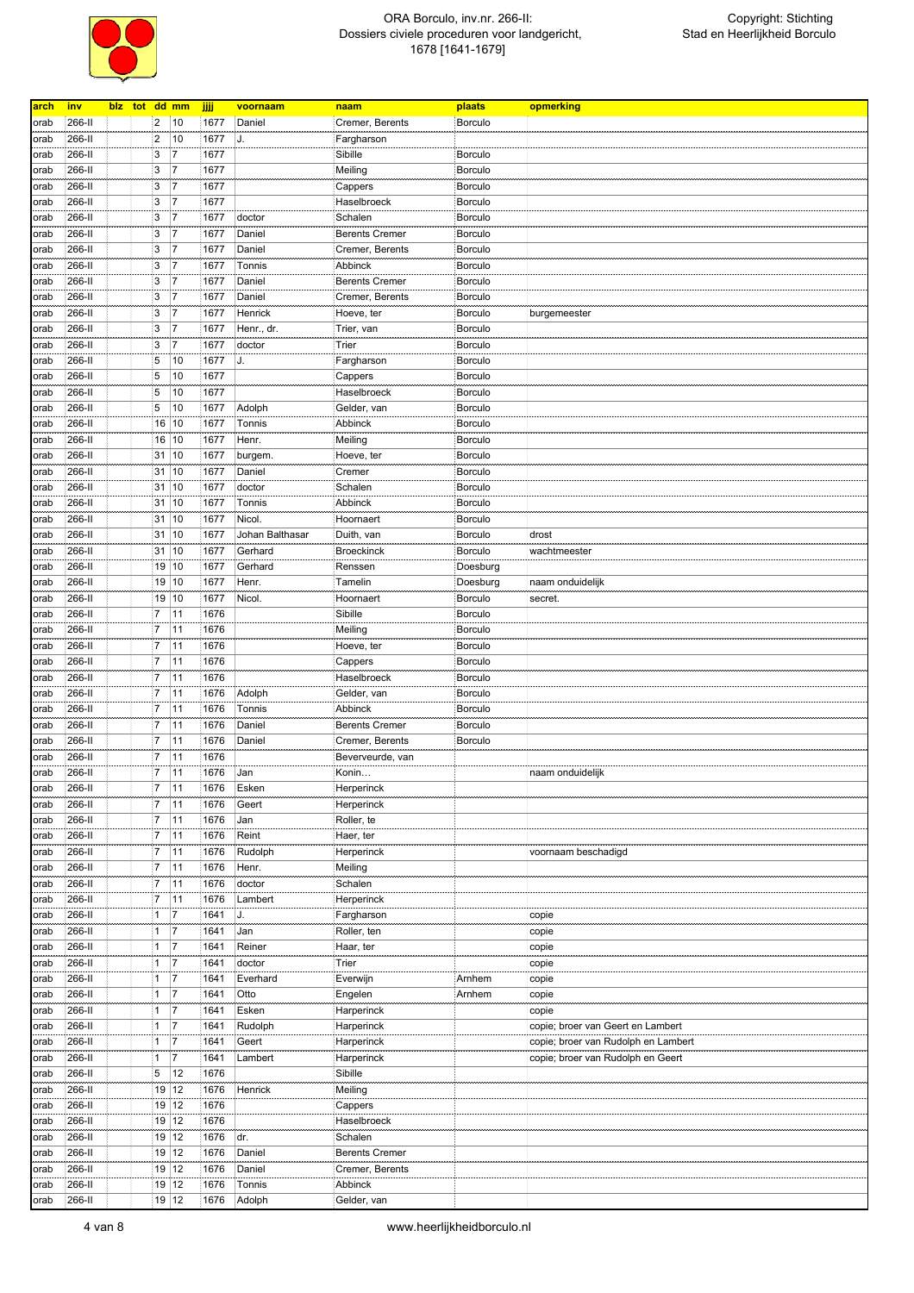

| <u>arch</u> | <u>inv</u> | blz tot dd mm |                |                |      | voornaam        | naam                  | plaats         | opmerking                           |
|-------------|------------|---------------|----------------|----------------|------|-----------------|-----------------------|----------------|-------------------------------------|
|             |            |               |                |                | jjjj |                 |                       |                |                                     |
| orab        | 266-II     |               | $\overline{2}$ | 10             | 1677 | Daniel          | Cremer, Berents       | Borculo        |                                     |
| orab        | 266-II     |               | $\overline{2}$ | 10             | 1677 | IJ.             | Fargharson            |                |                                     |
| orab        | 266-II     |               | 3              | 7              | 1677 |                 | Sibille               | <b>Borculo</b> |                                     |
|             |            |               | 3              | $\overline{7}$ |      |                 |                       |                |                                     |
| orab        | 266-II     |               |                |                | 1677 |                 | Meiling               | <b>Borculo</b> |                                     |
| orab        | 266-II     |               | 3              | 7              | 1677 |                 | Cappers               | <b>Borculo</b> |                                     |
| orab        | 266-II     |               | 3              | 7              | 1677 |                 | Haselbroeck           | <b>Borculo</b> |                                     |
| orab        | 266-II     |               | 3              | $\overline{7}$ | 1677 | doctor          | Schalen               | Borculo        |                                     |
| orab        | 266-II     |               | 3              | 7              | 1677 | Daniel          | <b>Berents Cremer</b> | Borculo        |                                     |
|             |            |               |                |                |      |                 |                       |                |                                     |
| orab        | 266-II     |               | 3              | $\overline{7}$ | 1677 | Daniel          | Cremer, Berents       | <b>Borculo</b> |                                     |
| orab        | 266-II     |               | 3              | 7              | 1677 | Tonnis          | Abbinck               | <b>Borculo</b> |                                     |
| orab        | 266-II     |               | 3              | 7              | 1677 | Daniel          | <b>Berents Cremer</b> | Borculo        |                                     |
| orab        | 266-II     |               | 3              | 7              | 1677 | Daniel          | Cremer, Berents       | <b>Borculo</b> |                                     |
|             | 266-II     |               | 3              | $\overline{7}$ | 1677 | Henrick         | Hoeve, ter            | <b>Borculo</b> |                                     |
| orab        |            |               |                |                |      |                 |                       |                | burgemeester                        |
| orab        | 266-II     |               | 3              | $\overline{7}$ | 1677 | Henr., dr.      | Trier, van            | Borculo        |                                     |
| orab        | 266-II     |               | 3              | 7              | 1677 | doctor          | Trier                 | <b>Borculo</b> |                                     |
| orab        | 266-II     |               | 5              | 10             | 1677 | J.              | Fargharson            | Borculo        |                                     |
| orab        | 266-II     |               | 5              | 10             | 1677 |                 | Cappers               | Borculo        |                                     |
|             | 266-II     |               | 5              | 10             | 1677 |                 | Haselbroeck           | Borculo        |                                     |
| orab        |            |               |                |                |      |                 |                       |                |                                     |
| orab        | 266-II     |               | 5              | 10             | 1677 | Adolph          | Gelder, van           | <b>Borculo</b> |                                     |
| orab        | 266-II     |               | 16             | 10             | 1677 | Tonnis          | Abbinck               | Borculo        |                                     |
| orab        | 266-II     |               | 16             | 10             | 1677 | Henr.           | Meiling               | <b>Borculo</b> |                                     |
| orab        | 266-II     |               | 31             | 10             | 1677 | burgem.         | Hoeve, ter            | <b>Borculo</b> |                                     |
| orab        | 266-II     |               | 31             | 10             | 1677 | Daniel          | Cremer                | <b>Borculo</b> |                                     |
|             |            |               |                |                |      |                 |                       |                |                                     |
| orab        | 266-II     |               | 31             | 10             | 1677 | doctor          | Schalen               | Borculo        |                                     |
| orab        | 266-II     |               | 31             | 10             | 1677 | Tonnis          | Abbinck               | Borculo        |                                     |
| orab        | 266-II     |               | 31             | 10             | 1677 | Nicol.          | Hoornaert             | <b>Borculo</b> |                                     |
| orab        | 266-II     |               | 31             | 10             | 1677 | Johan Balthasar | Duith, van            | Borculo        | drost                               |
|             |            |               |                |                |      |                 |                       |                |                                     |
| orab        | 266-II     |               | 31             | 10             | 1677 | Gerhard         | <b>Broeckinck</b>     | <b>Borculo</b> | wachtmeester                        |
| orab        | 266-II     |               | 19             | 10             | 1677 | Gerhard         | Renssen               | Doesburg       |                                     |
| orab        | 266-II     |               | 19             | 10             | 1677 | Henr.           | Tamelin               | Doesburg       | naam onduidelijk                    |
| orab        | 266-II     |               | 19             | 10             | 1677 | Nicol.          | Hoornaert             | <b>Borculo</b> | secret.                             |
|             | 266-II     |               | $\overline{7}$ | 11             | 1676 |                 | Sibille               | Borculo        |                                     |
| orab        |            |               |                |                |      |                 |                       |                |                                     |
| orab        | 266-II     |               | 7              | 11             | 1676 |                 | Meiling               | Borculo        |                                     |
| orab        | 266-II     |               | $\overline{7}$ | 11             | 1676 |                 | Hoeve, ter            | <b>Borculo</b> |                                     |
| orab        | 266-II     |               | 7              | 11             | 1676 |                 | Cappers               | Borculo        |                                     |
| orab        | 266-II     |               | $\overline{7}$ | 11             | 1676 |                 | Haselbroeck           | <b>Borculo</b> |                                     |
|             | 266-II     |               | 7              | 11             | 1676 | Adolph          |                       | <b>Borculo</b> |                                     |
| orab        |            |               |                |                |      |                 | Gelder, van           |                |                                     |
| orab        | 266-II     |               | $\overline{7}$ | 11             | 1676 | Tonnis          | Abbinck               | <b>Borculo</b> |                                     |
| orab        | 266-II     |               | $\overline{7}$ | 11             | 1676 | Daniel          | <b>Berents Cremer</b> | Borculo        |                                     |
| orab        | 266-II     |               | $\overline{7}$ | 11             | 1676 | Daniel          | Cremer, Berents       | <b>Borculo</b> |                                     |
| orab        | 266-II     |               | $\overline{7}$ | 11             | 1676 |                 | Beverveurde, van      |                |                                     |
| orab        | 266-II     |               | $\overline{7}$ | 11             | 1676 | Jan             | Konin                 |                | naam onduidelijk                    |
|             |            |               |                |                |      |                 |                       |                |                                     |
| orab        | 266-II     |               | 7              | 11             | 1676 | Esken           | Herperinck            |                |                                     |
| orab        | 266-II     |               | $\overline{7}$ | 11             | 1676 | Geert           | Herperinck            |                |                                     |
| orab        | 266-II     |               | $\overline{7}$ | 11             | 1676 | Jan             | Roller, te            |                |                                     |
| orab        | 266-II     |               | 7              | 11             | 1676 | Reint           | Haer, ter             |                |                                     |
|             | 266-II     |               | $\overline{7}$ | 11             | 1676 | Rudolph         |                       |                | voornaam beschadigd                 |
| orab        |            |               |                |                |      |                 | Herperinck            |                |                                     |
| orab        | 266-II     |               | $\overline{7}$ | 11             | 1676 | Henr.           | Meiling               |                |                                     |
| orab        | 266-II     |               | $\overline{7}$ | 11             | 1676 | doctor          | Schalen               |                |                                     |
| orab        | 266-II     |               | $\overline{7}$ | 11             | 1676 | Lambert         | Herperinck            |                |                                     |
| orab        | 266-II     |               | 1              | $\overline{7}$ | 1641 | J.              | Fargharson            |                | copie                               |
|             |            |               |                | 7              |      |                 | Roller, ten           |                |                                     |
| orab        | 266-II     |               | 1              |                | 1641 | Jan             |                       |                | copie                               |
| orab        | 266-II     |               | 1              | $\overline{7}$ | 1641 | Reiner          | Haar, ter             |                | copie                               |
| orab        | 266-II     |               | 1              | 7              | 1641 | doctor          | Trier                 |                | copie                               |
| orab        | 266-II     |               | 1              | 17             | 1641 | Everhard        | Everwijn              | Arnhem         | copie                               |
| orab        | 266-II     |               | 1              | $\overline{7}$ | 1641 | Otto            | Engelen               | Arnhem         | copie                               |
|             |            |               | 1              | 17             |      |                 |                       |                |                                     |
| orab        | 266-II     |               |                |                | 1641 | Esken           | Harperinck            |                | copie                               |
| orab        | 266-II     |               | 1              | 17             | 1641 | Rudolph         | Harperinck            |                | copie; broer van Geert en Lambert   |
| orab        | 266-II     |               | 1              | 7              | 1641 | Geert           | Harperinck            |                | copie; broer van Rudolph en Lambert |
| orab        | 266-II     |               | 1              | $\overline{7}$ | 1641 | Lambert         | Harperinck            |                | copie; broer van Rudolph en Geert   |
| orab        | 266-II     |               | 5              | 12             | 1676 |                 | Sibille               |                |                                     |
|             |            |               |                |                |      |                 |                       |                |                                     |
| orab        | 266-II     |               | 19             | 12             | 1676 | Henrick         | Meiling               |                |                                     |
| orab        | 266-II     |               | 19             | 12             | 1676 |                 | Cappers               |                |                                     |
| orab        | 266-II     |               | 19             | 12             | 1676 |                 | Haselbroeck           |                |                                     |
| orab        | 266-II     |               | 19             | 12             | 1676 | dr.             | Schalen               |                |                                     |
| orab        | 266-II     |               | 19             | 12             | 1676 | Daniel          | <b>Berents Cremer</b> |                |                                     |
|             | 266-II     |               | 19             | 12             | 1676 | Daniel          |                       |                |                                     |
| orab        |            |               |                |                |      |                 | Cremer, Berents       |                |                                     |
| orab        | 266-II     |               |                | 19 12          | 1676 | Tonnis          | Abbinck               |                |                                     |
| orab        | 266-II     |               |                | 19 12          | 1676 | Adolph          | Gelder, van           |                |                                     |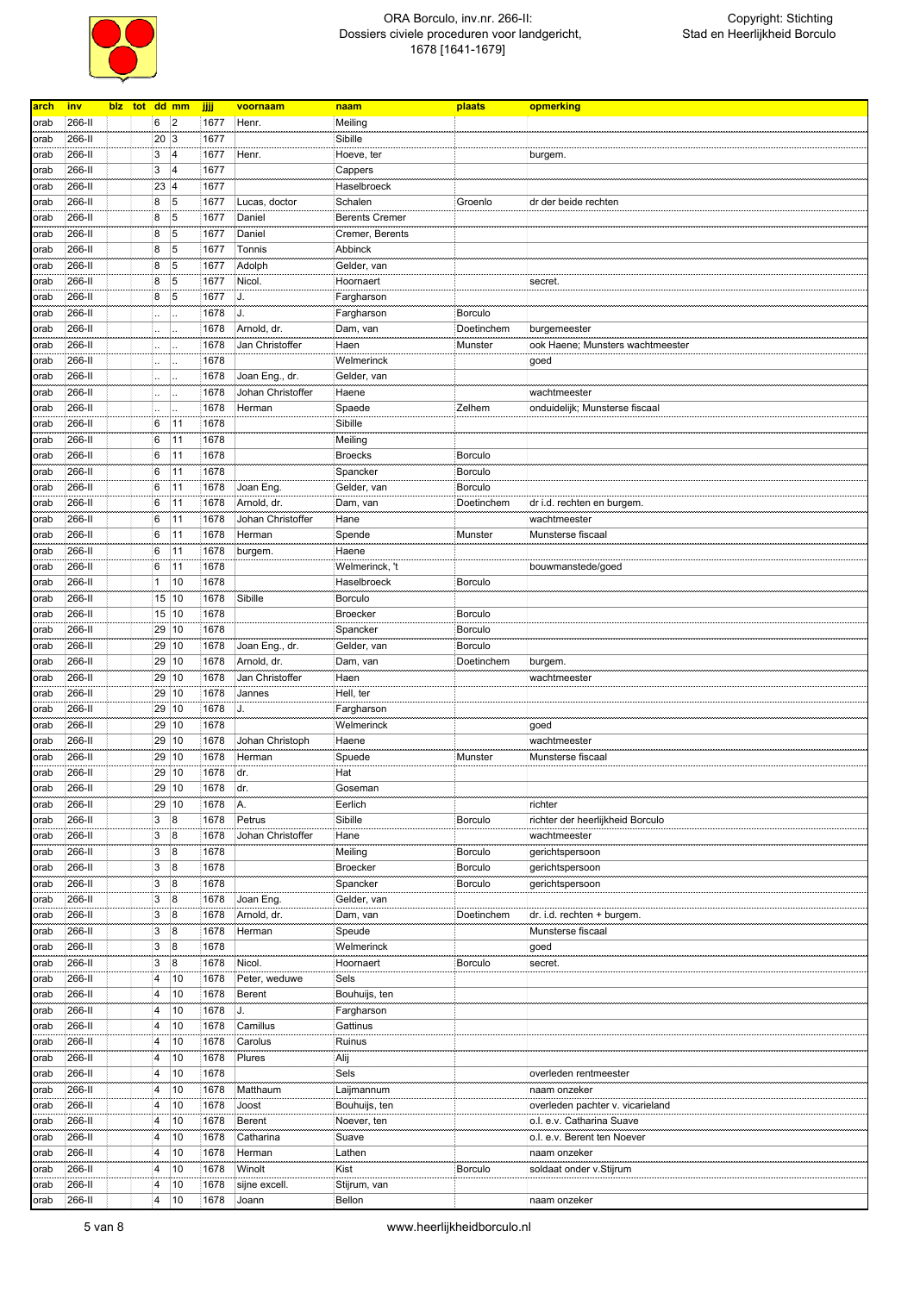

| arch | <u>inv</u>       | blz tot dd mm |                         |                         | jjjj         | voornaam               | naam                   | plaats         | opmerking                        |
|------|------------------|---------------|-------------------------|-------------------------|--------------|------------------------|------------------------|----------------|----------------------------------|
|      | 266-II           |               | 6                       | $\overline{2}$          | 1677         | Henr.                  | Meiling                |                |                                  |
| orab |                  |               |                         |                         |              |                        |                        |                |                                  |
| orab | 266-II           |               | 20                      | 3                       | 1677         |                        | Sibille                |                |                                  |
| orab | 266-II           |               | 3                       | $\overline{\mathbf{4}}$ | 1677         | Henr.                  | Hoeve, ter             |                | burgem.                          |
| orab | 266-II           |               | 3                       | 4                       | 1677         |                        | Cappers                |                |                                  |
| orab | 266-II           |               | 23                      | 4                       | 1677         |                        | Haselbroeck            |                |                                  |
| orab | 266-II           |               | 8                       | 5                       | 1677         | Lucas, doctor          | Schalen                | Groenlo        | dr der beide rechten             |
| orab | 266-II           |               | 8                       | 5                       | 1677         | Daniel                 | <b>Berents Cremer</b>  |                |                                  |
| orab | 266-II           |               | 8                       | 5                       | 1677         | Daniel                 | Cremer, Berents        |                |                                  |
|      |                  |               |                         |                         |              |                        |                        |                |                                  |
| orab | 266-II           |               | $\boldsymbol{8}$        | 5                       | 1677         | Tonnis                 | Abbinck                |                |                                  |
| orab | 266-II           |               | 8                       | 5                       | 1677         | Adolph                 | Gelder, van            |                |                                  |
| orab | 266-II           |               | 8                       | 5                       | 1677         | Nicol.                 | Hoornaert              |                | secret.                          |
| orab | 266-II           |               | 8                       | 5                       | 1677         | J.                     | Fargharson             |                |                                  |
| orab | 266-II           |               |                         |                         | 1678         | J.                     | Fargharson             | <b>Borculo</b> |                                  |
| orab | 266-II           |               |                         |                         | 1678         | Arnold, dr.            | Dam, van               | Doetinchem     | burgemeester                     |
| orab | 266-II           |               |                         |                         | 1678         | Jan Christoffer        | Haen                   | Munster        | ook Haene; Munsters wachtmeester |
|      |                  |               |                         |                         |              |                        |                        |                |                                  |
| orab | 266-II           |               |                         |                         | 1678         |                        | Welmerinck             |                | goed                             |
| orab | 266-II           |               |                         |                         | 1678         | Joan Eng., dr.         | Gelder, van            |                |                                  |
| orab | 266-II           |               |                         |                         | 1678         | Johan Christoffer      | Haene                  |                | wachtmeester                     |
| orab | 266-II           |               |                         |                         | 1678         | Herman                 | Spaede                 | Zelhem         | onduidelijk; Munsterse fiscaal   |
| orab | 266-II           |               | 6                       | 11                      | 1678         |                        | Sibille                |                |                                  |
| orab | 266-II           |               | 6                       | 11                      | 1678         |                        | Meiling                |                |                                  |
| orab | 266-II           |               | 6                       | 11                      | 1678         |                        | <b>Broecks</b>         | <b>Borculo</b> |                                  |
|      |                  |               |                         |                         |              |                        |                        |                |                                  |
| orab | 266-II           |               | 6                       | 11                      | 1678         |                        | Spancker               | Borculo        |                                  |
| orab | 266-II           |               | 6                       | 11                      | 1678         | Joan Eng.              | Gelder, van            | Borculo        |                                  |
| orab | 266-II           |               | 6                       | 11                      | 1678         | Arnold, dr.            | Dam, van               | Doetinchem     | dr i.d. rechten en burgem.       |
| orab | 266-II           |               | $6\phantom{.}6$         | 11                      | 1678         | Johan Christoffer      | Hane                   |                | wachtmeester                     |
| orab | 266-II           |               | 6                       | 11                      | 1678         | Herman                 | Spende                 | Munster        | Munsterse fiscaal                |
| orab | 266-II           |               | 6                       | 11                      | 1678         | burgem.                | Haene                  |                |                                  |
| orab | 266-II           |               | 6                       | 11                      | 1678         |                        | Welmerinck, 't         |                | bouwmanstede/goed                |
|      |                  |               |                         |                         |              |                        |                        |                |                                  |
| orab | 266-II           |               | 1                       | 10                      | 1678         |                        | Haselbroeck            | <b>Borculo</b> |                                  |
| orab | 266-II           |               | 15                      | 10                      | 1678         | Sibille                | <b>Borculo</b>         |                |                                  |
| orab | 266-II           |               |                         | 15 10                   | 1678         |                        | <b>Broecker</b>        | <b>Borculo</b> |                                  |
| orab | 266-II           |               | 29                      | 10                      | 1678         |                        | Spancker               | Borculo        |                                  |
| orab | 266-II           |               | 29                      | 10                      | 1678         | Joan Eng., dr.         | Gelder, van            | Borculo        |                                  |
|      |                  |               |                         |                         |              |                        |                        |                |                                  |
|      |                  |               |                         | 10                      |              |                        |                        | Doetinchem     |                                  |
| orab | 266-II           |               | 29                      |                         | 1678         | Arnold, dr.            | Dam, van               |                | burgem.                          |
| orab | 266-II           |               | 29                      | 10                      | 1678         | Jan Christoffer        | Haen                   |                | wachtmeester                     |
| orab | 266-II           |               | 29                      | 10                      | 1678         | Jannes                 | Hell, ter              |                |                                  |
| orab | 266-II           |               | 29                      | 10                      | 1678         | J.                     | Fargharson             |                |                                  |
| orab | 266-II           |               | 29                      | 10                      | 1678         |                        | Welmerinck             |                | goed                             |
| orab | 266-II           |               | 29                      | 10                      | 1678         | Johan Christoph        | Haene                  |                | wachtmeester                     |
| orab | 266-II           |               | 29                      | 10                      | 1678         | Herman                 | Spuede                 | Munster        | Munsterse fiscaal                |
| orab | 266-II           |               | 29                      | 10                      | 1678         | dr.                    | Hat                    |                |                                  |
|      |                  |               |                         |                         |              |                        |                        |                |                                  |
| orab | 266-II           |               | 29 10                   |                         | 1678         | dr.                    | Goseman                |                |                                  |
| orab | 266-II           |               | 29                      | 10                      | 1678         | AA.                    | Eerlich                |                | richter                          |
| orab | 266-II           |               | 3                       | $\boldsymbol{8}$        | 1678         | Petrus                 | Sibille                | <b>Borculo</b> | richter der heerlijkheid Borculo |
| orab | 266-II           |               | 3                       | $\overline{8}$          | 1678         | Johan Christoffer      | Hane                   |                | wachtmeester                     |
| orab | 266-II           |               | 3                       | 8                       | 1678         |                        | Meiling                | <b>Borculo</b> | gerichtspersoon                  |
| orab | 266-II           |               | 3                       | 8                       | 1678         |                        | Broecker               | <b>Borculo</b> | gerichtspersoon                  |
| orab | 266-II           |               | 3                       | 8                       | 1678         |                        | Spancker               | <b>Borculo</b> | gerichtspersoon                  |
| orab | 266-II           |               | 3                       | 8                       | 1678         | Joan Eng.              | Gelder, van            |                |                                  |
|      |                  |               |                         |                         |              |                        |                        |                |                                  |
| orab | 266-II           |               | 3                       | $\boldsymbol{8}$        | 1678         | Arnold, dr.            | Dam, van               | Doetinchem     | dr. i.d. rechten + burgem.       |
| orab | 266-II           |               | 3                       | $\boldsymbol{8}$        | 1678         | Herman                 | Speude                 |                | Munsterse fiscaal                |
| orab | 266-II           |               | 3                       | 8                       | 1678         |                        | Welmerinck             |                | goed                             |
| orab | 266-II           |               | 3                       | $\boldsymbol{8}$        | 1678         | Nicol.                 | Hoornaert              | Borculo        | secret.                          |
| orab | 266-II           |               | 4                       | 10                      | 1678         | Peter, weduwe          | Sels                   |                |                                  |
| orab | 266-II           |               | 4                       | 10                      | 1678         | Berent                 | Bouhuijs, ten          |                |                                  |
| orab | 266-II           |               | $\overline{4}$          | 10                      | 1678         | J.                     |                        |                |                                  |
|      |                  |               |                         |                         |              |                        | Fargharson             |                |                                  |
| orab | 266-II           |               | $\overline{4}$          | 10                      | 1678         | Camillus               | Gattinus               |                |                                  |
| orab | 266-II           |               | 4                       | 10                      | 1678         | Carolus                | Ruinus                 |                |                                  |
| orab | 266-II           |               | 4                       | 10                      | 1678         | Plures                 | Alij                   |                |                                  |
| orab | 266-II           |               | 4                       | 10                      | 1678         |                        | Sels                   |                | overleden rentmeester            |
| orab | 266-II           |               | $\overline{4}$          | 10                      | 1678         | Matthaum               | Laijmannum             |                | naam onzeker                     |
| orab | 266-II           |               | $\overline{4}$          | 10                      | 1678         | Joost                  | Bouhuijs, ten          |                | overleden pachter v. vicarieland |
| orab | 266-II           |               | $\overline{\mathbf{4}}$ | 10                      | 1678         | Berent                 | Noever, ten            |                | o.l. e.v. Catharina Suave        |
|      |                  |               | $\overline{4}$          |                         |              |                        |                        |                |                                  |
| orab | 266-II           |               |                         | 10                      | 1678         | Catharina              | Suave                  |                | o.l. e.v. Berent ten Noever      |
| orab | 266-II           |               | $\overline{4}$          | 10                      | 1678         | Herman                 | Lathen                 |                | naam onzeker                     |
| orab | 266-II           |               | 4                       | 10                      | 1678         | Winolt                 | Kist                   | <b>Borculo</b> | soldaat onder v.Stijrum          |
| orab | 266-II<br>266-II |               | 4<br>4                  | 10<br>10                | 1678<br>1678 | sijne excell.<br>Joann | Stijrum, van<br>Bellon |                | naam onzeker                     |

5 van 8 www.heerlijkheidborculo.nl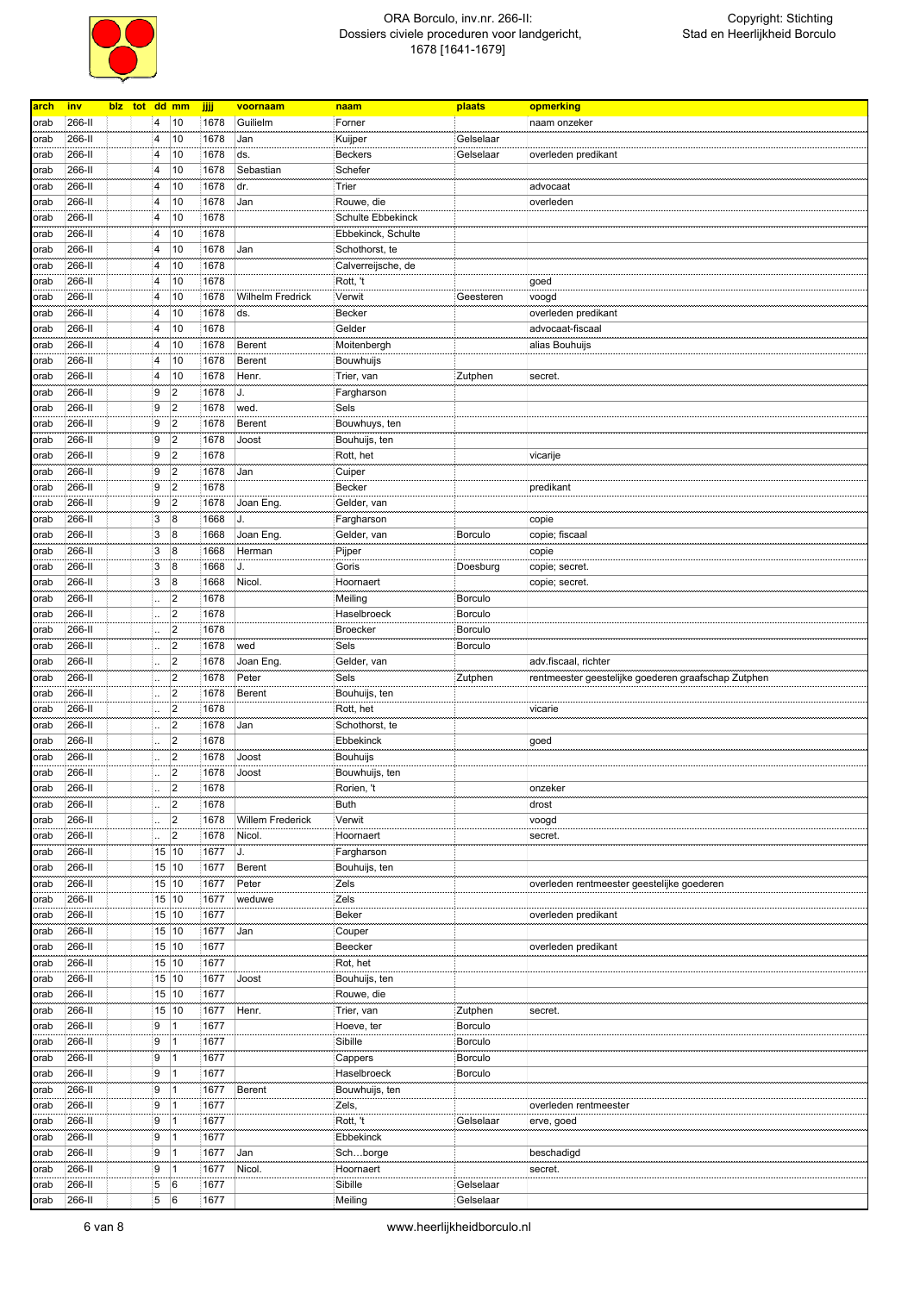

| arch | inv    | blz tot dd mm |                         |                  | jjjj | voornaam                | naam               | plaats         | opmerking                                           |
|------|--------|---------------|-------------------------|------------------|------|-------------------------|--------------------|----------------|-----------------------------------------------------|
|      |        |               |                         |                  |      |                         |                    |                |                                                     |
| orab | 266-II |               | 4                       | 10               | 1678 | Guilielm                | Forner             |                | naam onzeker                                        |
| orab | 266-II |               | 4                       | 10               | 1678 | Jan                     | Kuijper            | Gelselaar      |                                                     |
| orab | 266-II |               | 4                       | 10               | 1678 | ds.                     | <b>Beckers</b>     | Gelselaar      | overleden predikant                                 |
|      | 266-II |               | 4                       | 10               | 1678 | Sebastian               | Schefer            |                |                                                     |
| orab |        |               |                         |                  |      |                         |                    |                |                                                     |
| orab | 266-II |               | 4                       | 10               | 1678 | dr.                     | Trier              |                | advocaat                                            |
| orab | 266-II |               | 4                       | 10               | 1678 | Jan                     | Rouwe, die         |                | overleden                                           |
| orab | 266-II |               | $\overline{\mathbf{4}}$ | 10               | 1678 |                         | Schulte Ebbekinck  |                |                                                     |
| orab | 266-II |               | 4                       | 10               | 1678 |                         | Ebbekinck, Schulte |                |                                                     |
|      |        |               |                         | 10               |      |                         |                    |                |                                                     |
| orab | 266-II |               | 4                       |                  | 1678 | Jan                     | Schothorst, te     |                |                                                     |
| orab | 266-II |               | 4                       | 10               | 1678 |                         | Calverreijsche, de |                |                                                     |
| orab | 266-II |               | 4                       | 10               | 1678 |                         | Rott, 't           |                | goed                                                |
| orab | 266-II |               | 4                       | 10               | 1678 | Wilhelm Fredrick        | Verwit             | Geesteren      | voogd                                               |
| orab | 266-II |               | 4                       | 10               | 1678 | ds.                     | <b>Becker</b>      |                | overleden predikant                                 |
|      | 266-II |               | 4                       | 10               | 1678 |                         |                    |                | advocaat-fiscaal                                    |
| orab |        |               |                         |                  |      |                         | Gelder             |                |                                                     |
| orab | 266-II |               | 4                       | 10               | 1678 | <b>Berent</b>           | Moitenbergh        |                | alias Bouhuijs                                      |
| orab | 266-II |               | 4                       | 10               | 1678 | Berent                  | Bouwhuijs          |                |                                                     |
| orab | 266-II |               | $\overline{4}$          | 10               | 1678 | Henr.                   | Trier, van         | Zutphen        | secret.                                             |
| orab | 266-II |               | 9                       | $\overline{2}$   | 1678 | J.                      | Fargharson         |                |                                                     |
| orab | 266-II |               | 9                       | $\overline{2}$   | 1678 | wed.                    | Sels               |                |                                                     |
|      |        |               |                         |                  |      |                         |                    |                |                                                     |
| orab | 266-II |               | 9                       | $\overline{2}$   | 1678 | Berent                  | Bouwhuys, ten      |                |                                                     |
| orab | 266-II |               | ļ9                      | 2                | 1678 | Joost                   | Bouhuijs, ten      |                |                                                     |
| orab | 266-II |               | 9                       | $\overline{2}$   | 1678 |                         | Rott, het          |                | vicarije                                            |
| orab | 266-II |               | 19                      | 2                | 1678 | Jan                     | Cuiper             |                |                                                     |
| orab | 266-II |               | 9                       | $\overline{2}$   | 1678 |                         | <b>Becker</b>      |                | predikant                                           |
| orab | 266-II |               | 9                       | $\overline{2}$   | 1678 | Joan Eng.               | Gelder, van        |                |                                                     |
|      | 266-II |               | 3                       | $\boldsymbol{8}$ | 1668 | J.                      |                    |                |                                                     |
| orab |        |               |                         |                  |      |                         | Fargharson         |                | copie                                               |
| orab | 266-II |               | 3                       | $\overline{8}$   | 1668 | Joan Eng.               | Gelder, van        | <b>Borculo</b> | copie; fiscaal                                      |
| orab | 266-II |               | 3                       | 8                | 1668 | Herman                  | Pijper             |                | copie                                               |
| orab | 266-II |               | 3                       | $\boldsymbol{8}$ | 1668 | J.                      | Goris              | Doesburg       | copie; secret.                                      |
| orab | 266-II |               | 3                       | 8                | 1668 | Nicol.                  | Hoornaert          |                | copie; secret.                                      |
| orab | 266-II |               |                         | $\overline{2}$   | 1678 |                         | Meiling            | <b>Borculo</b> |                                                     |
|      | 266-II |               |                         | 2                | 1678 |                         | Haselbroeck        | <b>Borculo</b> |                                                     |
| orab |        |               |                         |                  |      |                         |                    |                |                                                     |
| orab | 266-II |               |                         | $\overline{2}$   | 1678 |                         | <b>Broecker</b>    | <b>Borculo</b> |                                                     |
| orab | 266-II |               |                         | $\overline{2}$   | 1678 | wed                     | Sels               | <b>Borculo</b> |                                                     |
| orab | 266-II |               |                         | $\overline{2}$   | 1678 | Joan Eng.               | Gelder, van        |                | adv.fiscaal, richter                                |
| orab | 266-II |               |                         | $\overline{2}$   | 1678 | Peter                   | Sels               | Zutphen        | rentmeester geestelijke goederen graafschap Zutphen |
| orab | 266-II |               |                         | $\overline{2}$   | 1678 | Berent                  | Bouhuijs, ten      |                |                                                     |
| orab | 266-II |               |                         | $\overline{2}$   | 1678 |                         | Rott, het          |                | vicarie                                             |
|      |        |               |                         |                  |      |                         |                    |                |                                                     |
| orab | 266-II |               |                         | $\overline{2}$   | 1678 | Jan                     | Schothorst, te     |                |                                                     |
| orab | 266-II |               |                         | 2                | 1678 |                         | Ebbekinck          |                | goed                                                |
| orab | 266-II |               |                         | $\overline{2}$   | 1678 | Joost                   | Bouhuijs           |                |                                                     |
| orab | 266-II |               |                         | $\overline{2}$   | 1678 | Joost                   | Bouwhuijs, ten     |                |                                                     |
| orab | 266-II |               |                         | $\overline{2}$   | 1678 |                         | Rorien, 't         |                | onzeker                                             |
| orab | 266-II |               |                         | $\overline{2}$   | 1678 |                         | <b>Buth</b>        |                | drost                                               |
|      |        |               |                         |                  |      |                         |                    |                |                                                     |
| orab | 266-II |               |                         | $\overline{2}$   | 1678 | <b>Willem Frederick</b> | Verwit             |                | voogd                                               |
| orab | 266-II |               |                         | $\overline{2}$   | 1678 | Nicol.                  | Hoornaert          |                | secret.                                             |
| orab | 266-II |               | 15 10                   |                  | 1677 | IJ.                     | Fargharson         |                |                                                     |
| orab | 266-II |               | 15 10                   |                  | 1677 | Berent                  | Bouhuijs, ten      |                |                                                     |
| orab | 266-II |               | 15   10                 |                  | 1677 | Peter                   | Zels               |                | overleden rentmeester geestelijke goederen          |
| orab | 266-II |               | 15 10                   |                  | 1677 | weduwe                  | Zels               |                |                                                     |
|      |        |               |                         |                  |      |                         |                    |                |                                                     |
| orab | 266-II |               | 15 10                   |                  | 1677 |                         | Beker              |                | overleden predikant                                 |
| orab | 266-II |               | 15 10                   |                  | 1677 | Jan                     | Couper             |                |                                                     |
| orab | 266-II |               |                         | 15 10            | 1677 |                         | Beecker            |                | overleden predikant                                 |
| orab | 266-II |               | 15   10                 |                  | 1677 |                         | Rot, het           |                |                                                     |
| orab | 266-II |               | 15 10                   |                  | 1677 | Joost                   | Bouhuijs, ten      |                |                                                     |
| orab | 266-II |               | 15 10                   |                  | 1677 |                         | Rouwe, die         |                |                                                     |
| orab | 266-II |               | 15 10                   |                  | 1677 | Henr.                   | Trier, van         | Zutphen        | secret.                                             |
|      |        |               |                         |                  |      |                         |                    |                |                                                     |
| orab | 266-II |               | 9                       | 1                | 1677 |                         | Hoeve, ter         | <b>Borculo</b> |                                                     |
| orab | 266-II |               | 9                       | $\mathbf{1}$     | 1677 |                         | Sibille            | Borculo        |                                                     |
| orab | 266-II |               | 9                       | 1                | 1677 |                         | Cappers            | <b>Borculo</b> |                                                     |
| orab | 266-II |               | 9                       | 1                | 1677 |                         | Haselbroeck        | <b>Borculo</b> |                                                     |
| orab | 266-II |               | 9                       | 1                | 1677 | Berent                  | Bouwhuijs, ten     |                |                                                     |
| orab | 266-II |               | 9                       | 1                | 1677 |                         | Zels,              |                | overleden rentmeester                               |
|      |        |               |                         | 1                |      |                         |                    |                |                                                     |
| orab | 266-II |               | 9                       |                  | 1677 |                         | Rott, 't           | Gelselaar      | erve, goed                                          |
| orab | 266-II |               | 9                       | 1                | 1677 |                         | Ebbekinck          |                |                                                     |
| orab | 266-II |               | Ι9                      | 1                | 1677 | Jan                     | Schborge           |                | beschadigd                                          |
| orab | 266-II |               | 9                       | 1                | 1677 | Nicol.                  | Hoornaert          |                | secret.                                             |
| orab | 266-II |               | 5                       | 6                | 1677 |                         | Sibille            | Gelselaar      |                                                     |
| orab | 266-II |               | 5                       | 6                | 1677 |                         | Meiling            | Gelselaar      |                                                     |
|      |        |               |                         |                  |      |                         |                    |                |                                                     |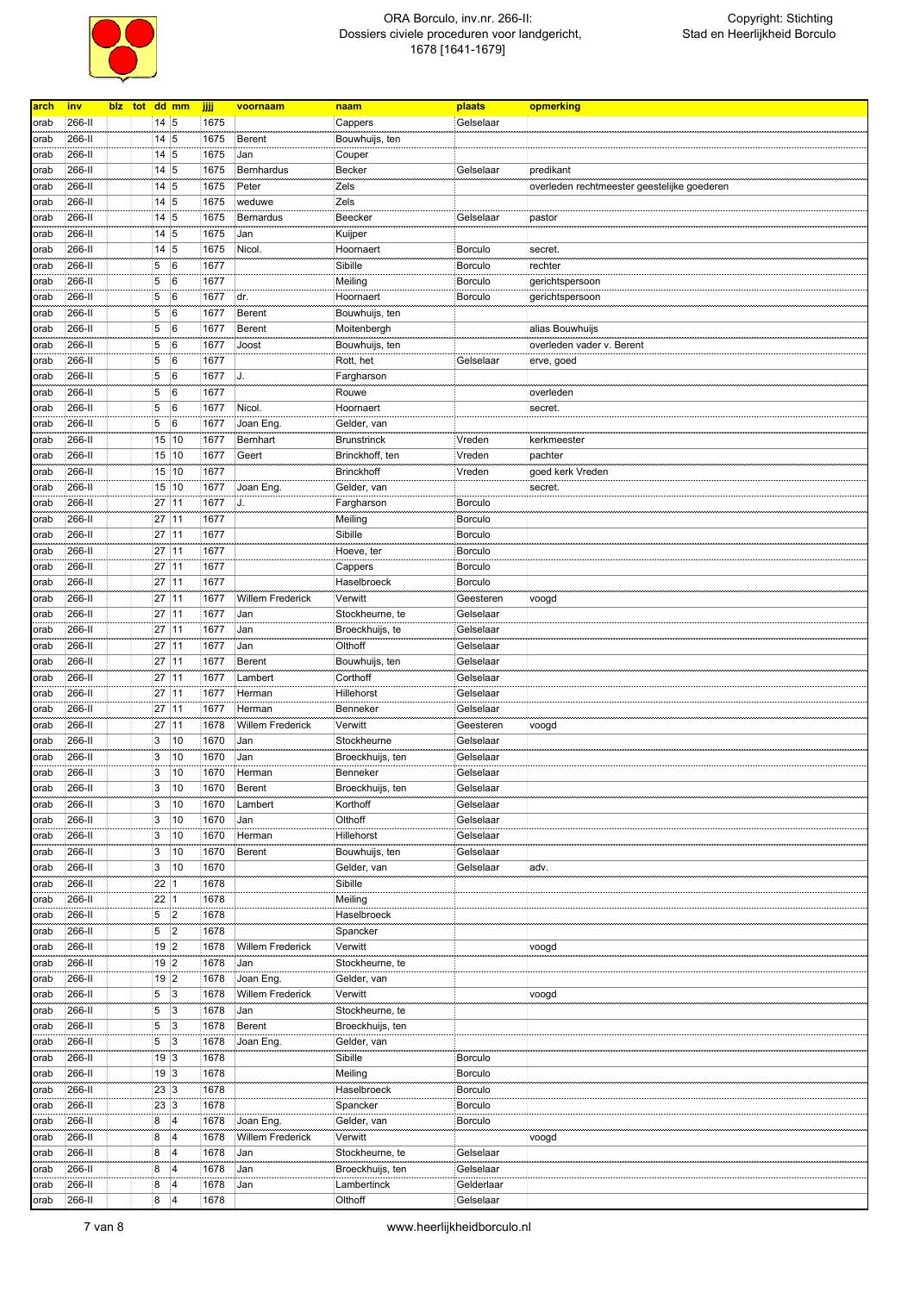

| arch | <u>inv</u> | blz tot dd mm |                           |                | jjjj | voornaam         | naam               | plaats         | opmerking                                   |
|------|------------|---------------|---------------------------|----------------|------|------------------|--------------------|----------------|---------------------------------------------|
| orab | 266-II     |               | $14 \overline{\smash{5}}$ |                | 1675 |                  | Cappers            | Gelselaar      |                                             |
| orab | 266-II     |               | 14 5                      |                | 1675 | Berent           | Bouwhuijs, ten     |                |                                             |
|      |            |               |                           |                |      |                  |                    |                |                                             |
| orab | 266-II     |               | 14 5                      |                | 1675 | Jan              | Couper             |                |                                             |
| orab | 266-II     |               | 14 5                      |                | 1675 | Bernhardus       | <b>Becker</b>      | Gelselaar      | predikant                                   |
| orab | 266-II     |               | $14 \overline{\smash{5}}$ |                | 1675 | Peter            | Zels               |                | overleden rechtmeester geestelijke goederen |
| orab | 266-II     |               | $14 \overline{\smash{5}}$ |                | 1675 | weduwe           | Zels               |                |                                             |
| orab | 266-II     |               | $14 \overline{\smash{5}}$ |                | 1675 | Bernardus        | Beecker            | Gelselaar      | pastor                                      |
| orab | 266-II     |               | 14 5                      |                | 1675 | Jan              | Kuijper            |                |                                             |
| orab | 266-II     |               | 14                        | 5              | 1675 | Nicol.           | Hoornaert          | Borculo        | secret.                                     |
| orab | 266-II     |               | 5                         | 6              | 1677 |                  | Sibille            | Borculo        | rechter                                     |
| orab | 266-II     |               | 5                         | 6              | 1677 |                  | Meiling            | Borculo        | gerichtspersoon                             |
| orab | 266-II     |               | 5                         | 6              | 1677 | dr.              | Hoornaert          | Borculo        | gerichtspersoon                             |
|      | 266-II     |               | 5                         | 6              | 1677 | Berent           |                    |                |                                             |
| orab |            |               |                           |                |      |                  | Bouwhuijs, ten     |                |                                             |
| orab | 266-II     |               | 5                         | 6              | 1677 | Berent           | Moitenbergh        |                | alias Bouwhuijs                             |
| orab | 266-II     |               | 5                         | 6              | 1677 | Joost            | Bouwhuijs, ten     |                | overleden vader v. Berent                   |
| orab | 266-II     |               | 5                         | 6              | 1677 |                  | Rott, het          | Gelselaar      | erve, goed                                  |
| orab | 266-II     |               | 5                         | 6              | 1677 | J.               | Fargharson         |                |                                             |
| orab | 266-II     |               | 5                         | 6              | 1677 |                  | Rouwe              |                | overleden                                   |
| orab | 266-II     |               | 5                         | 6              | 1677 | Nicol.           | Hoornaert          |                | secret.                                     |
| orab | 266-II     |               | 5                         | 6              | 1677 | Joan Eng.        | Gelder, van        |                |                                             |
| orab | 266-II     |               | 15                        | 10             | 1677 | Bernhart         | <b>Brunstrinck</b> | Vreden         | kerkmeester                                 |
| orab | 266-II     |               | 15                        | 10             | 1677 | Geert            | Brinckhoff, ten    | Vreden         | pachter                                     |
| orab | 266-II     |               | 15                        | 10             | 1677 |                  | Brinckhoff         | Vreden         | goed kerk Vreden                            |
|      |            |               |                           |                |      |                  |                    |                |                                             |
| orab | 266-II     |               | 15                        | 10             | 1677 | Joan Eng.        | Gelder, van        |                | secret.                                     |
| orab | 266-II     |               | 27                        | 11             | 1677 | J.               | Fargharson         | <b>Borculo</b> |                                             |
| orab | 266-II     |               | 27                        | 11             | 1677 |                  | Meiling            | <b>Borculo</b> |                                             |
| orab | 266-II     |               | 27                        | 11             | 1677 |                  | Sibille            | Borculo        |                                             |
| orab | 266-II     |               | 27                        | 11             | 1677 |                  | Hoeve, ter         | Borculo        |                                             |
| orab | 266-II     |               | 27                        | 11             | 1677 |                  | Cappers            | <b>Borculo</b> |                                             |
| orab | 266-II     |               | 27                        | 11             | 1677 |                  | Haselbroeck        | Borculo        |                                             |
| orab | 266-II     |               | 27                        | 11             | 1677 | Willem Frederick | Verwitt            | Geesteren      | voogd                                       |
| orab | 266-II     |               | 27                        | 11             | 1677 | Jan              | Stockheurne, te    | Gelselaar      |                                             |
|      | 266-II     |               | 27                        | 11             | 1677 | Jan              | Broeckhuijs, te    | Gelselaar      |                                             |
| orab |            |               |                           |                |      |                  |                    |                |                                             |
| orab | 266-II     |               | 27                        | 11             | 1677 | Jan              | Olthoff            | Gelselaar      |                                             |
| orab | 266-II     |               | 27                        | 11             | 1677 | Berent           | Bouwhuijs, ten     | Gelselaar      |                                             |
| orab | 266-II     |               | 27                        | 11             | 1677 | Lambert          | Corthoff           | Gelselaar      |                                             |
| orab | 266-II     |               | 27                        | 11             | 1677 | Herman           | Hillehorst         | Gelselaar      |                                             |
| orab | 266-II     |               | 27                        | 11             | 1677 | Herman           | Benneker           | Gelselaar      |                                             |
| orab | 266-II     |               | 27                        | 11             | 1678 | Willem Frederick | Verwitt            | Geesteren      | voogd                                       |
| orab | 266-II     |               | 3                         | 10             | 1670 | Jan              | Stockheurne        | Gelselaar      |                                             |
| orab | 266-II     |               | 3                         | 10             | 1670 | Jan              | Broeckhuijs, ten   | Gelselaar      |                                             |
| orab | 266-II     |               | 3                         | 10             | 1670 | Herman           | Benneker           | Gelselaar      |                                             |
|      |            |               |                           |                |      |                  |                    |                |                                             |
| orab | 266-II     |               | 3                         | 10             | 1670 | Berent           | Broeckhuijs, ten   | Gelselaar      |                                             |
| orab | 266-II     |               | 3                         | 10             | 1670 | Lambert          | Korthoff           | Gelselaar      |                                             |
| orab | 266-II     |               | 3                         | 10             | 1670 | Jan              | Olthoff            | Gelselaar      |                                             |
| orab | 266-II     |               | 3                         | 10             | 1670 | Herman           | Hillehorst         | Gelselaar      |                                             |
| orab | 266-II     |               | 3                         | 10             | 1670 | Berent           | Bouwhuijs, ten     | Gelselaar      |                                             |
| orab | 266-II     |               | 3                         | 10             | 1670 |                  | Gelder, van        | Gelselaar      | adv.                                        |
| orab | 266-II     |               | 22                        | 1              | 1678 |                  | Sibille            |                |                                             |
| orab | 266-II     |               | 22                        | $\vert$ 1      | 1678 |                  | Meiling            |                |                                             |
| orab | 266-II     |               | 5                         | 2              | 1678 |                  | Haselbroeck        |                |                                             |
| orab | 266-II     |               | 5                         | 2              | 1678 |                  | Spancker           |                |                                             |
| orab | 266-II     |               | 19 2                      |                | 1678 | Willem Frederick | Verwitt            |                | voogd                                       |
|      |            |               |                           |                |      |                  |                    |                |                                             |
| orab | 266-II     |               | 19 2                      |                | 1678 | Jan              | Stockheurne, te    |                |                                             |
| orab | 266-II     |               | 19 2                      |                | 1678 | Joan Eng.        | Gelder, van        |                |                                             |
| orab | 266-II     |               | 5                         | $\overline{3}$ | 1678 | Willem Frederick | Verwitt            |                | voogd                                       |
| orab | 266-II     |               | 5                         | $\overline{3}$ | 1678 | Jan              | Stockheurne, te    |                |                                             |
| orab | 266-II     |               | 5                         | 3              | 1678 | Berent           | Broeckhuijs, ten   |                |                                             |
| orab | 266-II     |               | 5                         | 3              | 1678 | Joan Eng.        | Gelder, van        |                |                                             |
| orab | 266-II     |               | 19 3                      |                | 1678 |                  | Sibille            | <b>Borculo</b> |                                             |
| orab | 266-II     |               | 19 3                      |                | 1678 |                  | Meiling            | Borculo        |                                             |
|      | 266-II     |               | 23 3                      |                | 1678 |                  | Haselbroeck        | Borculo        |                                             |
| orab |            |               |                           |                |      |                  |                    |                |                                             |
| orab | 266-II     |               | 23                        | 3              | 1678 |                  | Spancker           | Borculo        |                                             |
| orab | 266-II     |               | 8                         | $\overline{4}$ | 1678 | Joan Eng.        | Gelder, van        | Borculo        |                                             |
| orab | 266-II     |               | 8                         | 4              | 1678 | Willem Frederick | Verwitt            |                | voogd                                       |
| orab | 266-II     |               | 8                         | 4              | 1678 | Jan              | Stockheurne, te    | Gelselaar      |                                             |
| orab | 266-II     |               | 8                         | $\overline{4}$ | 1678 | Jan              | Broeckhuijs, ten   | Gelselaar      |                                             |
| orab | 266-II     |               | 8                         | 4              | 1678 | Jan              | Lambertinck        | Gelderlaar     |                                             |
| orab | 266-II     |               | 8                         | 4              | 1678 |                  | Olthoff            | Gelselaar      |                                             |
|      |            |               |                           |                |      |                  |                    |                |                                             |